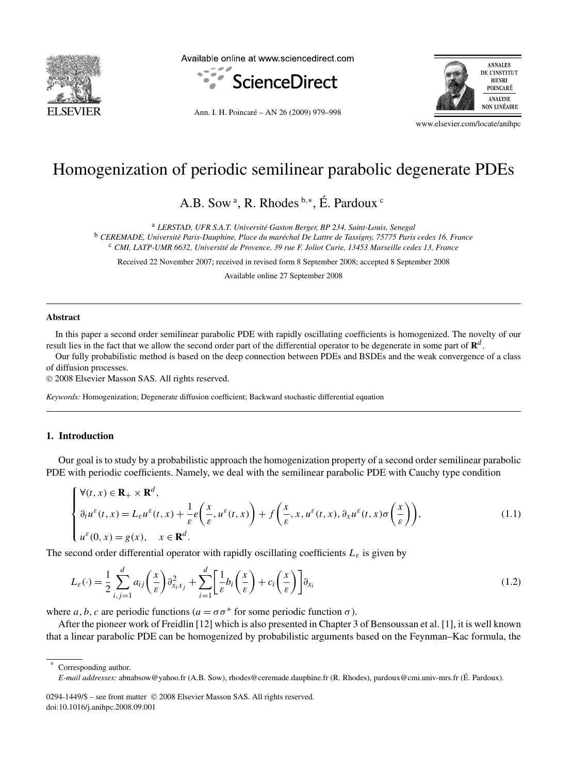

Available online at www.sciencedirect.com



Ann. I. H. Poincaré – AN 26 (2009) 979–998



www.elsevier.com/locate/anihpc

# Homogenization of periodic semilinear parabolic degenerate PDEs

A.B. Sow<sup>a</sup>, R. Rhodes<sup>b,∗</sup>, É. Pardoux<sup>c</sup>

<sup>a</sup> *LERSTAD, UFR S.A.T. Université Gaston Berger, BP 234, Saint-Louis, Senegal*

<sup>b</sup> *CEREMADE, Université Paris-Dauphine, Place du maréchal De Lattre de Tassigny, 75775 Paris cedex 16, France*

<sup>c</sup> *CMI, LATP-UMR 6632, Université de Provence, 39 rue F. Joliot Curie, 13453 Marseille cedex 13, France*

Received 22 November 2007; received in revised form 8 September 2008; accepted 8 September 2008

Available online 27 September 2008

#### **Abstract**

In this paper a second order semilinear parabolic PDE with rapidly oscillating coefficients is homogenized. The novelty of our result lies in the fact that we allow the second order part of the differential operator to be degenerate in some part of **R***<sup>d</sup>* .

Our fully probabilistic method is based on the deep connection between PDEs and BSDEs and the weak convergence of a class of diffusion processes.

© 2008 Elsevier Masson SAS. All rights reserved.

*Keywords:* Homogenization; Degenerate diffusion coefficient; Backward stochastic differential equation

#### **1. Introduction**

Our goal is to study by a probabilistic approach the homogenization property of a second order semilinear parabolic PDE with periodic coefficients. Namely, we deal with the semilinear parabolic PDE with Cauchy type condition

$$
\begin{cases}\n\forall (t, x) \in \mathbf{R}_{+} \times \mathbf{R}^{d}, \\
\partial_{t} u^{\varepsilon}(t, x) = L_{\varepsilon} u^{\varepsilon}(t, x) + \frac{1}{\varepsilon} e\left(\frac{x}{\varepsilon}, u^{\varepsilon}(t, x)\right) + f\left(\frac{x}{\varepsilon}, x, u^{\varepsilon}(t, x), \partial_{x} u^{\varepsilon}(t, x)\sigma\left(\frac{x}{\varepsilon}\right)\right), \\
u^{\varepsilon}(0, x) = g(x), \quad x \in \mathbf{R}^{d}.\n\end{cases}
$$
\n(1.1)

The second order differential operator with rapidly oscillating coefficients  $L_{\varepsilon}$  is given by

$$
L_{\varepsilon}(\cdot) = \frac{1}{2} \sum_{i,j=1}^{d} a_{ij} \left(\frac{x}{\varepsilon}\right) \partial_{x_i x_j}^2 + \sum_{i=1}^{d} \left[\frac{1}{\varepsilon} b_i \left(\frac{x}{\varepsilon}\right) + c_i \left(\frac{x}{\varepsilon}\right) \right] \partial_{x_i}
$$
(1.2)

where *a*, *b*, *c* are periodic functions ( $a = \sigma \sigma^*$  for some periodic function  $\sigma$ ).

After the pioneer work of Freidlin [12] which is also presented in Chapter 3 of Bensoussan et al. [1], it is well known that a linear parabolic PDE can be homogenized by probabilistic arguments based on the Feynman–Kac formula, the

Corresponding author.

*E-mail addresses:* abnabsow@yahoo.fr (A.B. Sow), rhodes@ceremade.dauphine.fr (R. Rhodes), pardoux@cmi.univ-mrs.fr (É. Pardoux).

<sup>0294-1449/\$ –</sup> see front matter © 2008 Elsevier Masson SAS. All rights reserved. doi:10.1016/j.anihpc.2008.09.001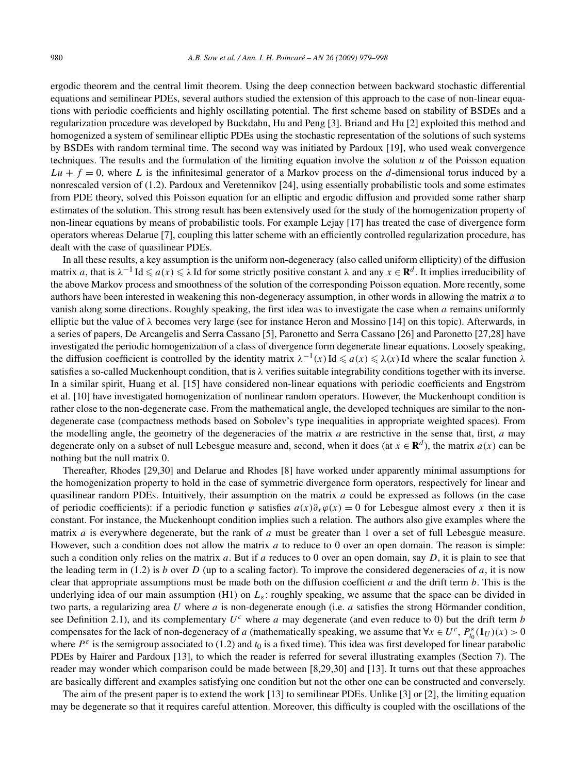ergodic theorem and the central limit theorem. Using the deep connection between backward stochastic differential equations and semilinear PDEs, several authors studied the extension of this approach to the case of non-linear equations with periodic coefficients and highly oscillating potential. The first scheme based on stability of BSDEs and a regularization procedure was developed by Buckdahn, Hu and Peng [3]. Briand and Hu [2] exploited this method and homogenized a system of semilinear elliptic PDEs using the stochastic representation of the solutions of such systems by BSDEs with random terminal time. The second way was initiated by Pardoux [19], who used weak convergence techniques. The results and the formulation of the limiting equation involve the solution  $u$  of the Poisson equation  $Lu + f = 0$ , where *L* is the infinitesimal generator of a Markov process on the *d*-dimensional torus induced by a nonrescaled version of (1.2). Pardoux and Veretennikov [24], using essentially probabilistic tools and some estimates from PDE theory, solved this Poisson equation for an elliptic and ergodic diffusion and provided some rather sharp estimates of the solution. This strong result has been extensively used for the study of the homogenization property of non-linear equations by means of probabilistic tools. For example Lejay [17] has treated the case of divergence form operators whereas Delarue [7], coupling this latter scheme with an efficiently controlled regularization procedure, has dealt with the case of quasilinear PDEs.

In all these results, a key assumption is the uniform non-degeneracy (also called uniform ellipticity) of the diffusion matrix *a*, that is  $\lambda^{-1}$  Id  $\le a(x) \le \lambda$  Id for some strictly positive constant  $\lambda$  and any  $x \in \mathbf{R}^d$ . It implies irreducibility of the above Markov process and smoothness of the solution of the corresponding Poisson equation. More recently, some authors have been interested in weakening this non-degeneracy assumption, in other words in allowing the matrix *a* to vanish along some directions. Roughly speaking, the first idea was to investigate the case when *a* remains uniformly elliptic but the value of *λ* becomes very large (see for instance Heron and Mossino [14] on this topic). Afterwards, in a series of papers, De Arcangelis and Serra Cassano [5], Paronetto and Serra Cassano [26] and Paronetto [27,28] have investigated the periodic homogenization of a class of divergence form degenerate linear equations. Loosely speaking, the diffusion coefficient is controlled by the identity matrix  $\lambda^{-1}(x)$ Id  $\le a(x) \le \lambda(x)$ Id where the scalar function  $\lambda$ satisfies a so-called Muckenhoupt condition, that is *λ* verifies suitable integrability conditions together with its inverse. In a similar spirit, Huang et al. [15] have considered non-linear equations with periodic coefficients and Engström et al. [10] have investigated homogenization of nonlinear random operators. However, the Muckenhoupt condition is rather close to the non-degenerate case. From the mathematical angle, the developed techniques are similar to the nondegenerate case (compactness methods based on Sobolev's type inequalities in appropriate weighted spaces). From the modelling angle, the geometry of the degeneracies of the matrix *a* are restrictive in the sense that, first, *a* may degenerate only on a subset of null Lebesgue measure and, second, when it does (at  $x \in \mathbb{R}^d$ ), the matrix  $a(x)$  can be nothing but the null matrix 0.

Thereafter, Rhodes [29,30] and Delarue and Rhodes [8] have worked under apparently minimal assumptions for the homogenization property to hold in the case of symmetric divergence form operators, respectively for linear and quasilinear random PDEs. Intuitively, their assumption on the matrix *a* could be expressed as follows (in the case of periodic coefficients): if a periodic function  $\varphi$  satisfies  $a(x)\partial_x\varphi(x) = 0$  for Lebesgue almost every *x* then it is constant. For instance, the Muckenhoupt condition implies such a relation. The authors also give examples where the matrix *a* is everywhere degenerate, but the rank of *a* must be greater than 1 over a set of full Lebesgue measure. However, such a condition does not allow the matrix *a* to reduce to 0 over an open domain. The reason is simple: such a condition only relies on the matrix *a*. But if *a* reduces to 0 over an open domain, say *D*, it is plain to see that the leading term in (1.2) is *b* over *D* (up to a scaling factor). To improve the considered degeneracies of *a*, it is now clear that appropriate assumptions must be made both on the diffusion coefficient *a* and the drift term *b*. This is the underlying idea of our main assumption (H1) on  $L_{\varepsilon}$ : roughly speaking, we assume that the space can be divided in two parts, a regularizing area *U* where *a* is non-degenerate enough (i.e. *a* satisfies the strong Hörmander condition, see Definition 2.1), and its complementary  $U^c$  where *a* may degenerate (and even reduce to 0) but the drift term *b* compensates for the lack of non-degeneracy of *a* (mathematically speaking, we assume that  $\forall x \in U^c$ ,  $P_{t_0}^{\varepsilon}(1_U)(x) > 0$ where  $P^{\varepsilon}$  is the semigroup associated to (1.2) and  $t_0$  is a fixed time). This idea was first developed for linear parabolic PDEs by Hairer and Pardoux [13], to which the reader is referred for several illustrating examples (Section 7). The reader may wonder which comparison could be made between [8,29,30] and [13]. It turns out that these approaches are basically different and examples satisfying one condition but not the other one can be constructed and conversely.

The aim of the present paper is to extend the work [13] to semilinear PDEs. Unlike [3] or [2], the limiting equation may be degenerate so that it requires careful attention. Moreover, this difficulty is coupled with the oscillations of the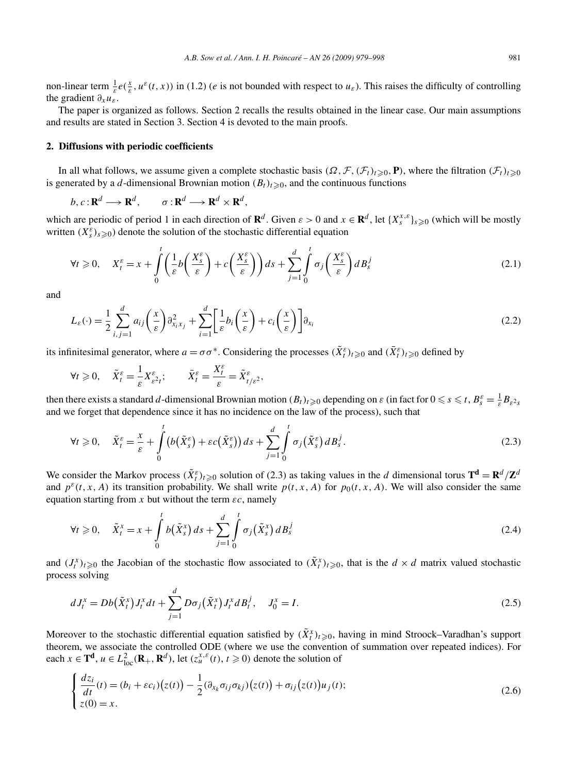non-linear term  $\frac{1}{\varepsilon}e(\frac{x}{\varepsilon},u^{\varepsilon}(t,x))$  in (1.2) (*e* is not bounded with respect to *u*<sub> $\varepsilon$ </sub>). This raises the difficulty of controlling the gradient  $\partial_x u_{\varepsilon}$ .

The paper is organized as follows. Section 2 recalls the results obtained in the linear case. Our main assumptions and results are stated in Section 3. Section 4 is devoted to the main proofs.

#### **2. Diffusions with periodic coefficients**

In all what follows, we assume given a complete stochastic basis  $(\Omega, \mathcal{F}, (\mathcal{F}_t)_{t \geq 0}, \mathbf{P})$ , where the filtration  $(\mathcal{F}_t)_{t \geq 0}$ is generated by a *d*-dimensional Brownian motion  $(B_t)_{t\geqslant0}$ , and the continuous functions

 $b, c: \mathbf{R}^d \longrightarrow \mathbf{R}^d$ ,  $\sigma: \mathbf{R}^d \longrightarrow \mathbf{R}^d \times \mathbf{R}^d$ ,

which are periodic of period 1 in each direction of  $\mathbf{R}^d$ . Given  $\varepsilon > 0$  and  $x \in \mathbf{R}^d$ , let  $\{X_s^{x,\varepsilon}\}_{s \geq 0}$  (which will be mostly written  $(X_s^{\varepsilon})_{s \geq 0}$  denote the solution of the stochastic differential equation

$$
\forall t \geqslant 0, \quad X_t^{\varepsilon} = x + \int_0^t \left( \frac{1}{\varepsilon} b \left( \frac{X_s^{\varepsilon}}{\varepsilon} \right) + c \left( \frac{X_s^{\varepsilon}}{\varepsilon} \right) \right) ds + \sum_{j=1}^d \int_0^t \sigma_j \left( \frac{X_s^{\varepsilon}}{\varepsilon} \right) dB_s^j \tag{2.1}
$$

and

$$
L_{\varepsilon}(\cdot) = \frac{1}{2} \sum_{i,j=1}^{d} a_{ij} \left(\frac{x}{\varepsilon}\right) \partial_{x_i x_j}^2 + \sum_{i=1}^{d} \left[\frac{1}{\varepsilon} b_i \left(\frac{x}{\varepsilon}\right) + c_i \left(\frac{x}{\varepsilon}\right) \right] \partial_{x_i}
$$
(2.2)

its infinitesimal generator, where  $a = \sigma \sigma^*$ . Considering the processes  $(\tilde{X}_t^{\varepsilon})_{t \geq 0}$  and  $(\bar{X}_t^{\varepsilon})_{t \geq 0}$  defined by

$$
\forall t \geq 0, \quad \tilde{X}_t^{\varepsilon} = \frac{1}{\varepsilon} X_{\varepsilon^2 t}^{\varepsilon}; \qquad \bar{X}_t^{\varepsilon} = \frac{X_t^{\varepsilon}}{\varepsilon} = \tilde{X}_{t/\varepsilon^2}^{\varepsilon},
$$

then there exists a standard *d*-dimensional Brownian motion  $(B_t)_{t\geqslant 0}$  depending on  $\varepsilon$  (in fact for  $0\leqslant s\leqslant t$ ,  $B_s^\varepsilon=\frac{1}{\varepsilon}B_{\varepsilon^2 s}$ and we forget that dependence since it has no incidence on the law of the process), such that

$$
\forall t \geqslant 0, \quad \tilde{X}_t^{\varepsilon} = \frac{x}{\varepsilon} + \int\limits_0^t \left( b\left(\tilde{X}_s^{\varepsilon}\right) + \varepsilon c\left(\tilde{X}_s^{\varepsilon}\right) \right) ds + \sum_{j=1}^d \int\limits_0^t \sigma_j\left(\tilde{X}_s^{\varepsilon}\right) dB_s^j. \tag{2.3}
$$

We consider the Markov process  $(\tilde{X}_t^{\varepsilon})_{t \geq 0}$  solution of (2.3) as taking values in the *d* dimensional torus  $T^d = R^d / Z^d$ and  $p^{\varepsilon}(t, x, A)$  its transition probability. We shall write  $p(t, x, A)$  for  $p_0(t, x, A)$ . We will also consider the same equation starting from x but without the term  $\epsilon c$ , namely

$$
\forall t \geq 0, \quad \tilde{X}_t^x = x + \int_0^t b(\tilde{X}_s^x) \, ds + \sum_{j=1}^d \int_0^t \sigma_j(\tilde{X}_s^x) \, dB_s^j \tag{2.4}
$$

and  $(J_t^x)_{t\geqslant0}$  the Jacobian of the stochastic flow associated to  $(\tilde{X}_t^x)_{t\geqslant0}$ , that is the  $d\times d$  matrix valued stochastic process solving

$$
dJ_t^x = Db(\tilde{X}_t^x)J_t^x dt + \sum_{j=1}^d Do_j(\tilde{X}_t^x)J_t^x dB_t^j, \quad J_0^x = I.
$$
\n(2.5)

Moreover to the stochastic differential equation satisfied by  $(\tilde{X}^x_t)_{t\geqslant0}$ , having in mind Stroock–Varadhan's support theorem, we associate the controlled ODE (where we use the convention of summation over repeated indices). For each  $x \in \mathbf{T}^d$ ,  $u \in L^2_{loc}(\mathbf{R}_+,\mathbf{R}^d)$ , let  $(z_u^{x,\varepsilon}(t), t \geq 0)$  denote the solution of

$$
\begin{cases}\n\frac{dz_i}{dt}(t) = (b_i + \varepsilon c_i)(z(t)) - \frac{1}{2}(\partial_{x_k}\sigma_{ij}\sigma_{kj})(z(t)) + \sigma_{ij}(z(t))u_j(t); \\
z(0) = x.\n\end{cases}
$$
\n(2.6)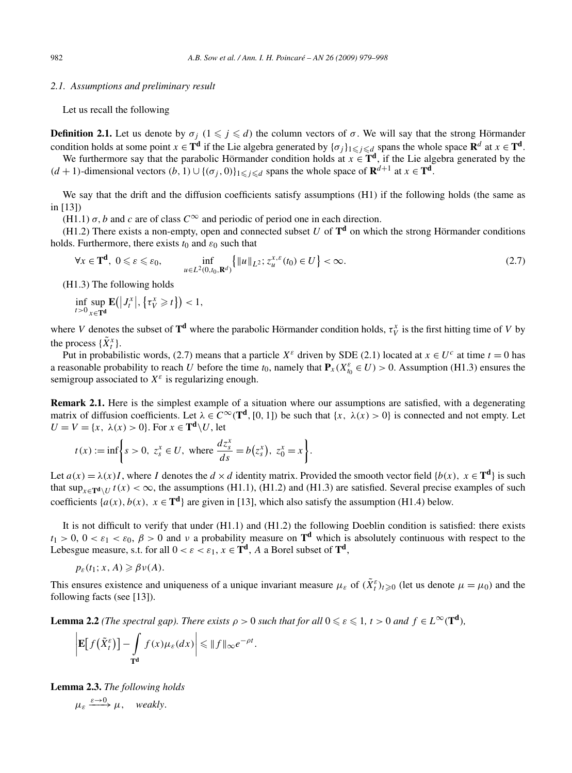#### *2.1. Assumptions and preliminary result*

Let us recall the following

**Definition 2.1.** Let us denote by  $\sigma_j$  ( $1 \leq j \leq d$ ) the column vectors of  $\sigma$ . We will say that the strong Hörmander condition holds at some point  $x \in \mathbf{T}^d$  if the Lie algebra generated by  $\{\sigma_i\}_{1 \leq i \leq d}$  spans the whole space  $\mathbf{R}^d$  at  $x \in \mathbf{T}^d$ .

We furthermore say that the parabolic Hörmander condition holds at  $x \in \mathbf{T}^d$ , if the Lie algebra generated by the  $(d + 1)$ -dimensional vectors  $(b, 1) ∪ { (σ<sub>i</sub>, 0)}<sub>1</sub>≤<sub>i</sub>≤<sub>d</sub> spans the whole space of **R**<sup>d+1</sup> at *x* ∈ **T**<sup>d</sup>.$ 

We say that the drift and the diffusion coefficients satisfy assumptions (H1) if the following holds (the same as in [13])

(H1.1)  $\sigma$ , *b* and *c* are of class  $C^{\infty}$  and periodic of period one in each direction.

(H1.2) There exists a non-empty, open and connected subset  $U$  of  $T<sup>d</sup>$  on which the strong Hörmander conditions holds. Furthermore, there exists  $t_0$  and  $\varepsilon_0$  such that

$$
\forall x \in \mathbf{T}^{\mathbf{d}}, \ 0 \leqslant \varepsilon \leqslant \varepsilon_0, \qquad \inf_{u \in L^2(0, t_0, \mathbf{R}^d)} \left\{ \|u\|_{L^2}; z_u^{x, \varepsilon}(t_0) \in U \right\} < \infty. \tag{2.7}
$$

(H1.3) The following holds

$$
\inf_{t>0}\sup_{x\in\mathbf{T}^{\mathbf{d}}}\mathbf{E}(|J_t^x|,\{\tau_V^x\geq t\})<1,
$$

where *V* denotes the subset of  $T^d$  where the parabolic Hörmander condition holds,  $\tau_V^x$  is the first hitting time of *V* by the process  $\{\tilde{X}^x_t\}.$ 

Put in probabilistic words, (2.7) means that a particle  $X^{\varepsilon}$  driven by SDE (2.1) located at  $x \in U^{\varepsilon}$  at time  $t = 0$  has a reasonable probability to reach *U* before the time  $t_0$ , namely that  $P_x(X_{t_0}^{\varepsilon} \in U) > 0$ . Assumption (H1.3) ensures the semigroup associated to  $X^{\varepsilon}$  is regularizing enough.

**Remark 2.1.** Here is the simplest example of a situation where our assumptions are satisfied, with a degenerating matrix of diffusion coefficients. Let  $\lambda \in C^{\infty}(\mathbf{T}^d, [0, 1])$  be such that  $\{x, \lambda(x) > 0\}$  is connected and not empty. Let  $U = V = \{x, \lambda(x) > 0\}$ . For  $x \in \mathbf{T}^d \setminus U$ , let

$$
t(x) := \inf \bigg\{ s > 0, \ z_s^x \in U, \text{ where } \frac{dz_s^x}{ds} = b(z_s^x), \ z_0^x = x \bigg\}.
$$

Let  $a(x) = \lambda(x)I$ , where *I* denotes the  $d \times d$  identity matrix. Provided the smooth vector field {*b(x), x* ∈ **T<sup>d</sup>**} is such that  $\sup_{x \in \text{Tr } \mathbf{d} \setminus U} t(x) < \infty$ , the assumptions (H1.1), (H1.2) and (H1.3) are satisfied. Several precise examples of such coefficients  $\{a(x), b(x), x \in \mathbf{T}^d\}$  are given in [13], which also satisfy the assumption (H1.4) below.

It is not difficult to verify that under (H1.1) and (H1.2) the following Doeblin condition is satisfied: there exists  $t_1 > 0$ ,  $0 < \varepsilon_1 < \varepsilon_0$ ,  $\beta > 0$  and *v* a probability measure on **T<sup>d</sup>** which is absolutely continuous with respect to the Lebesgue measure, s.t. for all  $0 < \varepsilon < \varepsilon_1$ ,  $x \in \mathbf{T}^d$ , A a Borel subset of  $\mathbf{T}^d$ ,

$$
p_{\varepsilon}(t_1; x, A) \geq \beta \nu(A).
$$

This ensures existence and uniqueness of a unique invariant measure  $\mu_{\varepsilon}$  of  $(\tilde{X}_t^{\varepsilon})_{t\geqslant0}$  (let us denote  $\mu=\mu_0$ ) and the following facts (see [13]).

**Lemma 2.2** *(The spectral gap). There exists*  $\rho > 0$  *such that for all*  $0 \le \varepsilon \le 1$ ,  $t > 0$  *and*  $f \in L^{\infty}(\mathbf{T}^d)$ *,* 

$$
\left|\mathbf{E}\big[f\big(\tilde{X}_t^{\varepsilon}\big)\big] - \int_{\mathbf{T}^d} f(x)\mu_{\varepsilon}(dx)\right| \leq \|f\|_{\infty} e^{-\rho t}.
$$

**Lemma 2.3.** *The following holds*  $\mu_{\varepsilon} \xrightarrow{\varepsilon \to 0} \mu$ *, weakly.*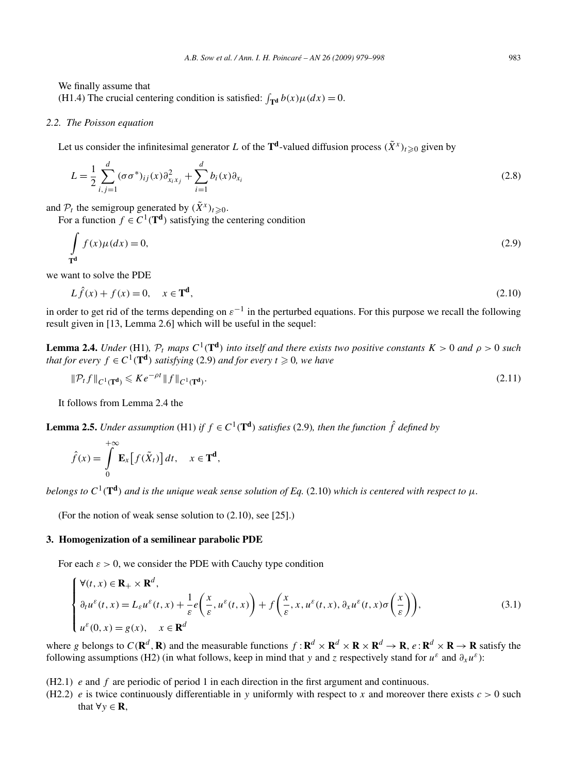We finally assume that (H1.4) The crucial centering condition is satisfied:  $\int_{\mathbf{T}^d} b(x) \mu(dx) = 0$ .

## *2.2. The Poisson equation*

Let us consider the infinitesimal generator *L* of the  $T^d$ -valued diffusion process  $(\tilde{X}^x)_{t \geq 0}$  given by

$$
L = \frac{1}{2} \sum_{i,j=1}^{d} (\sigma \sigma^*)_{ij}(x) \partial_{x_i x_j}^2 + \sum_{i=1}^{d} b_i(x) \partial_{x_i}
$$
 (2.8)

and  $\mathcal{P}_t$  the semigroup generated by  $(\tilde{X}^x)_{t \geq 0}$ .

For a function  $f \in C^1(\mathbf{T}^d)$  satisfying the centering condition

$$
\int_{\mathbf{T}^d} f(x)\mu(dx) = 0,\tag{2.9}
$$

we want to solve the PDE

$$
L\hat{f}(x) + f(x) = 0, \quad x \in \mathbf{T}^d,
$$
\n
$$
(2.10)
$$

in order to get rid of the terms depending on  $\varepsilon^{-1}$  in the perturbed equations. For this purpose we recall the following result given in [13, Lemma 2.6] which will be useful in the sequel:

**Lemma 2.4.** *Under* (H1),  $P_t$  *maps*  $C^1(T^d)$  *into itself and there exists two positive constants*  $K > 0$  *and*  $\rho > 0$  *such that for every*  $f \in C^1(\mathbf{T}^d)$  *satisfying* (2.9) *and for every*  $t \ge 0$ *, we have* 

$$
\|\mathcal{P}_t f\|_{C^1(\mathbf{T}^d)} \leqslant K e^{-\rho t} \|f\|_{C^1(\mathbf{T}^d)}.
$$
\n(2.11)

It follows from Lemma 2.4 the

**Lemma 2.5.** *Under assumption* (H1) *if*  $f \in C^1(\mathbf{T}^d)$  *satisfies* (2.9)*, then the function*  $\hat{f}$  *defined by* 

$$
\hat{f}(x) = \int_{0}^{+\infty} \mathbf{E}_{x} [f(\tilde{X}_{t})] dt, \quad x \in \mathbf{T}^{d},
$$

*belongs to*  $C^1(\mathbf{T}^d)$  *and is the unique weak sense solution of Eq.* (2.10) *which is centered with respect to*  $\mu$ *.* 

(For the notion of weak sense solution to (2.10), see [25].)

#### **3. Homogenization of a semilinear parabolic PDE**

For each  $\varepsilon > 0$ , we consider the PDE with Cauchy type condition

$$
\begin{cases}\n\forall (t, x) \in \mathbf{R}_{+} \times \mathbf{R}^{d}, \\
\partial_{t} u^{\varepsilon}(t, x) = L_{\varepsilon} u^{\varepsilon}(t, x) + \frac{1}{\varepsilon} e\left(\frac{x}{\varepsilon}, u^{\varepsilon}(t, x)\right) + f\left(\frac{x}{\varepsilon}, x, u^{\varepsilon}(t, x), \partial_{x} u^{\varepsilon}(t, x)\sigma\left(\frac{x}{\varepsilon}\right)\right), \\
u^{\varepsilon}(0, x) = g(x), \quad x \in \mathbf{R}^{d}\n\end{cases}
$$
\n(3.1)

where g belongs to  $C(\mathbf{R}^d, \mathbf{R})$  and the measurable functions  $f: \mathbf{R}^d \times \mathbf{R}^d \times \mathbf{R} \times \mathbf{R}^d \to \mathbf{R}$ ,  $e: \mathbf{R}^d \times \mathbf{R} \to \mathbf{R}$  satisfy the following assumptions (H2) (in what follows, keep in mind that *y* and *z* respectively stand for  $u^{\varepsilon}$  and  $\partial_x u^{\varepsilon}$ ):

- (H2.1) *e* and *f* are periodic of period 1 in each direction in the first argument and continuous.
- (H2.2) *e* is twice continuously differentiable in *y* uniformly with respect to *x* and moreover there exists  $c > 0$  such that  $\forall y \in \mathbf{R}$ ,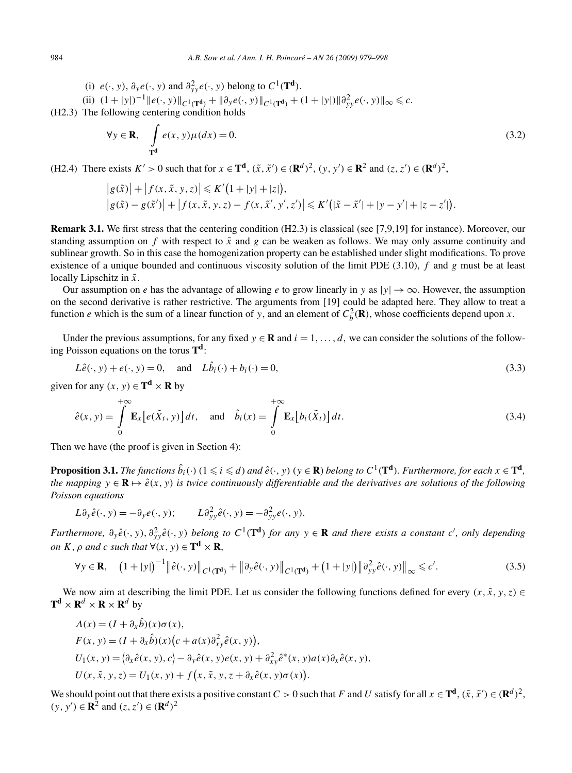(i)  $e(\cdot, y)$ ,  $\partial_y e(\cdot, y)$  and  $\partial_{yy}^2 e(\cdot, y)$  belong to  $C^1(\mathbf{T}^d)$ .

(ii)  $(1+|y|)^{-1} ||e(\cdot, y)||_{C^1(\mathbf{T}^d)} + ||\partial_y e(\cdot, y)||_{C^1(\mathbf{T}^d)} + (1+|y|) ||\partial_{yy}^2 e(\cdot, y)||_{\infty} \leq c.$ 

(H2.3) The following centering condition holds

$$
\forall y \in \mathbf{R}, \quad \int_{\mathbf{T}^d} e(x, y) \mu(dx) = 0. \tag{3.2}
$$

(H2.4) There exists  $K' > 0$  such that for  $x \in \mathbf{T}^d$ ,  $(\tilde{x}, \tilde{x}') \in (\mathbf{R}^d)^2$ ,  $(y, y') \in \mathbf{R}^2$  and  $(z, z') \in (\mathbf{R}^d)^2$ ,

$$
|g(\tilde{x})| + |f(x, \tilde{x}, y, z)| \le K'(1 + |y| + |z|),
$$
  

$$
|g(\tilde{x}) - g(\tilde{x}')| + |f(x, \tilde{x}, y, z) - f(x, \tilde{x}', y', z')| \le K'(|\tilde{x} - \tilde{x}'| + |y - y'| + |z - z'|).
$$

**Remark 3.1.** We first stress that the centering condition (H2.3) is classical (see [7,9,19] for instance). Moreover, our standing assumption on  $f$  with respect to  $\tilde{x}$  and  $g$  can be weaken as follows. We may only assume continuity and sublinear growth. So in this case the homogenization property can be established under slight modifications. To prove existence of a unique bounded and continuous viscosity solution of the limit PDE (3.10), *f* and *g* must be at least locally Lipschitz in  $\tilde{x}$ .

Our assumption on *e* has the advantage of allowing *e* to grow linearly in *y* as  $|y| \to \infty$ . However, the assumption on the second derivative is rather restrictive. The arguments from [19] could be adapted here. They allow to treat a function *e* which is the sum of a linear function of *y*, and an element of  $C_b^2(\mathbf{R})$ , whose coefficients depend upon *x*.

Under the previous assumptions, for any fixed  $y \in \mathbf{R}$  and  $i = 1, \ldots, d$ , we can consider the solutions of the following Poisson equations on the torus **Td**:

$$
L\hat{e}(\cdot, y) + e(\cdot, y) = 0, \quad \text{and} \quad L\hat{b}_i(\cdot) + b_i(\cdot) = 0,
$$
\n
$$
(3.3)
$$

given for any  $(x, y) \in T^d \times R$  by

$$
\hat{e}(x, y) = \int_{0}^{+\infty} \mathbf{E}_{x} [e(\tilde{X}_{t}, y)] dt, \text{ and } \hat{b}_{i}(x) = \int_{0}^{+\infty} \mathbf{E}_{x} [b_{i}(\tilde{X}_{t})] dt.
$$
\n(3.4)

Then we have (the proof is given in Section 4):

**Proposition 3.1.** The functions  $\hat{b}_i(\cdot)$   $(1\leqslant i\leqslant d)$  and  $\hat{e}(\cdot,y)$   $(y\in\mathbf{R})$  belong to  $C^1(\mathbf{T^d})$ . Furthermore, for each  $x\in\mathbf{T^d}$ , *the mapping*  $y \in \mathbf{R}$   $\mapsto$   $\hat{e}(x, y)$  *is twice continuously differentiable and the derivatives are solutions of the following Poisson equations*

$$
L\partial_y \hat{e}(\cdot, y) = -\partial_y e(\cdot, y); \qquad L\partial_{yy}^2 \hat{e}(\cdot, y) = -\partial_{yy}^2 e(\cdot, y).
$$

Furthermore,  $\partial_y \hat{e}(\cdot, y)$ ,  $\partial_{yy}^2 \hat{e}(\cdot, y)$  belong to  $C^1(\mathbf{T}^d)$  for any  $y \in \mathbf{R}$  and there exists a constant c', only depending *on K,*  $\rho$  *<i>and c such that*  $\forall$  (*x, y*)  $\in$  **T**<sup>d</sup>  $\times$  **R***,* 

$$
\forall y \in \mathbf{R}, \quad \left(1+|y|\right)^{-1} \left\|\hat{e}(\cdot, y)\right\|_{C^1(\mathbf{T}^d)} + \left\|\partial_y \hat{e}(\cdot, y)\right\|_{C^1(\mathbf{T}^d)} + \left(1+|y|\right) \left\|\partial_{yy}^2 \hat{e}(\cdot, y)\right\|_{\infty} \leq c'.\tag{3.5}
$$

We now aim at describing the limit PDE. Let us consider the following functions defined for every  $(x, \tilde{x}, y, z) \in$  $T^d \times R^d \times R \times R^d$  by

$$
\Lambda(x) = (I + \partial_x \hat{b})(x)\sigma(x),
$$
  
\n
$$
F(x, y) = (I + \partial_x \hat{b})(x)(c + a(x)\partial_{xy}^2 \hat{e}(x, y)),
$$
  
\n
$$
U_1(x, y) = \langle \partial_x \hat{e}(x, y), c \rangle - \partial_y \hat{e}(x, y)e(x, y) + \partial_{xy}^2 \hat{e}^*(x, y)a(x)\partial_x \hat{e}(x, y),
$$
  
\n
$$
U(x, \tilde{x}, y, z) = U_1(x, y) + f(x, \tilde{x}, y, z + \partial_x \hat{e}(x, y)\sigma(x)).
$$

We should point out that there exists a positive constant  $C > 0$  such that  $F$  and  $U$  satisfy for all  $x \in \mathbf{T}^d$ ,  $(\tilde{x}, \tilde{x}') \in (\mathbf{R}^d)^2$ ,  $(y, y')$  ∈ **R**<sup>2</sup> and  $(z, z')$  ∈  $(\mathbf{R}^d)^2$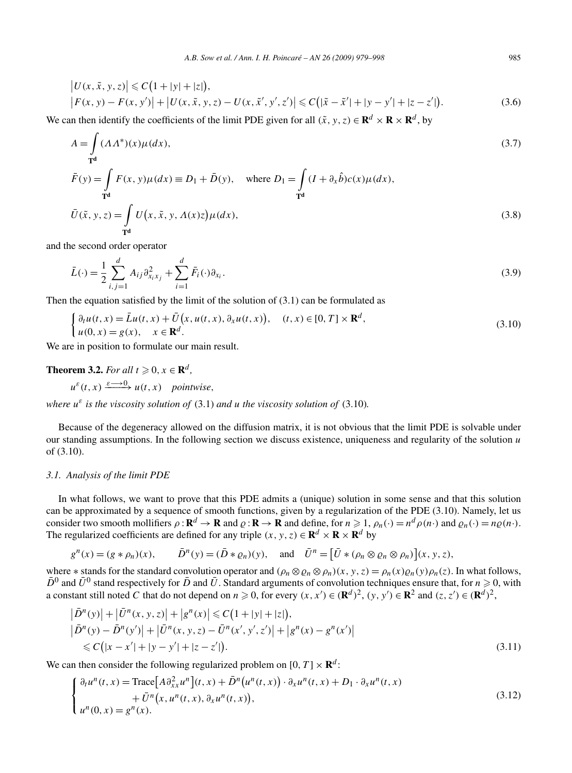$$
\begin{aligned} \left| U(x, \tilde{x}, y, z) \right| &\leq C \big( 1 + |y| + |z| \big), \\ \left| F(x, y) - F(x, y') \right| + \left| U(x, \tilde{x}, y, z) - U(x, \tilde{x}', y', z') \right| &\leq C \big( |\tilde{x} - \tilde{x}'| + |y - y'| + |z - z'| \big). \end{aligned} \tag{3.6}
$$

We can then identify the coefficients of the limit PDE given for all  $(\tilde{x}, y, z) \in \mathbb{R}^d \times \mathbb{R} \times \mathbb{R}^d$ , by

$$
A = \int_{\mathbf{T}^d} (\Lambda \Lambda^*)(x) \mu(dx),
$$
  
\n
$$
\bar{F}(y) = \int_{\mathbf{T}^d} F(x, y) \mu(dx) \equiv D_1 + \bar{D}(y), \quad \text{where } D_1 = \int_{\mathbf{T}^d} (I + \partial_x \hat{b}) c(x) \mu(dx),
$$
  
\n
$$
\bar{U}(\tilde{x}, y, z) = \int_{\mathbf{T}^d} U(x, \tilde{x}, y, \Lambda(x)z) \mu(dx),
$$
\n(3.8)

and the second order operator

$$
\bar{L}(\cdot) = \frac{1}{2} \sum_{i,j=1}^{d} A_{ij} \partial_{x_i x_j}^2 + \sum_{i=1}^{d} \bar{F}_i(\cdot) \partial_{x_i}.
$$
\n(3.9)

Then the equation satisfied by the limit of the solution of  $(3.1)$  can be formulated as

$$
\begin{cases} \partial_t u(t, x) = \bar{L}u(t, x) + \bar{U}(x, u(t, x), \partial_x u(t, x)), & (t, x) \in [0, T] \times \mathbf{R}^d, \\ u(0, x) = g(x), & x \in \mathbf{R}^d. \end{cases}
$$
\n(3.10)

We are in position to formulate our main result.

## **Theorem 3.2.** *For all*  $t \ge 0$ ,  $x \in \mathbb{R}^d$ ,

 $u^{\varepsilon}(t, x) \xrightarrow{\varepsilon \longrightarrow 0} u(t, x)$  *pointwise*,

*where*  $u^{\varepsilon}$  *is the viscosity solution of* (3.1) *and u the viscosity solution of* (3.10)*.* 

Because of the degeneracy allowed on the diffusion matrix, it is not obvious that the limit PDE is solvable under our standing assumptions. In the following section we discuss existence, uniqueness and regularity of the solution *u* of (3.10).

#### *3.1. Analysis of the limit PDE*

In what follows, we want to prove that this PDE admits a (unique) solution in some sense and that this solution can be approximated by a sequence of smooth functions, given by a regularization of the PDE (3.10). Namely, let us consider two smooth mollifiers  $\rho : \mathbf{R}^d \to \mathbf{R}$  and  $\rho : \mathbf{R} \to \mathbf{R}$  and define, for  $n \ge 1$ ,  $\rho_n(\cdot) = n^d \rho(n \cdot)$  and  $\rho_n(\cdot) = n \rho(n \cdot)$ . The regularized coefficients are defined for any triple  $(x, y, z) \in \mathbb{R}^d \times \mathbb{R} \times \mathbb{R}^d$  by

$$
g^{n}(x) = (g * \rho_{n})(x), \qquad \bar{D}^{n}(y) = (\bar{D} * \rho_{n})(y), \text{ and } \bar{U}^{n} = [\bar{U} * (\rho_{n} \otimes \rho_{n} \otimes \rho_{n})](x, y, z),
$$

where  $*$  stands for the standard convolution operator and  $(\rho_n \otimes \rho_n \otimes \rho_n)(x, y, z) = \rho_n(x) \rho_n(y) \rho_n(z)$ . In what follows,  $\bar{D}^0$  and  $\bar{U}^0$  stand respectively for  $\bar{D}$  and  $\bar{U}$ . Standard arguments of convolution techniques ensure that, for  $n \ge 0$ , with a constant still noted C that do not depend on  $n \ge 0$ , for every  $(x, x') \in (\mathbf{R}^d)^2$ ,  $(y, y') \in \mathbf{R}^2$  and  $(z, z') \in (\mathbf{R}^d)^2$ ,

$$
\begin{aligned} \left| \bar{D}^n(y) \right| + \left| \bar{U}^n(x, y, z) \right| + \left| g^n(x) \right| &\leq C \big( 1 + |y| + |z| \big), \\ \left| \bar{D}^n(y) - \bar{D}^n(y') \right| + \left| \bar{U}^n(x, y, z) - \bar{U}^n(x', y', z') \right| + \left| g^n(x) - g^n(x') \right| \\ &\leq C \big( |x - x'| + |y - y'| + |z - z'| \big). \end{aligned} \tag{3.11}
$$

We can then consider the following regularized problem on  $[0, T] \times \mathbb{R}^d$ :

$$
\begin{cases} \partial_t u^n(t,x) = \text{Trace}\big[A\partial_{xx}^2 u^n\big](t,x) + \bar{D}^n\big(u^n(t,x)\big) \cdot \partial_x u^n(t,x) + D_1 \cdot \partial_x u^n(t,x) \\ \qquad + \bar{U}^n\big(x, u^n(t,x), \partial_x u^n(t,x)\big), \\ u^n(0,x) = g^n(x). \end{cases} \tag{3.12}
$$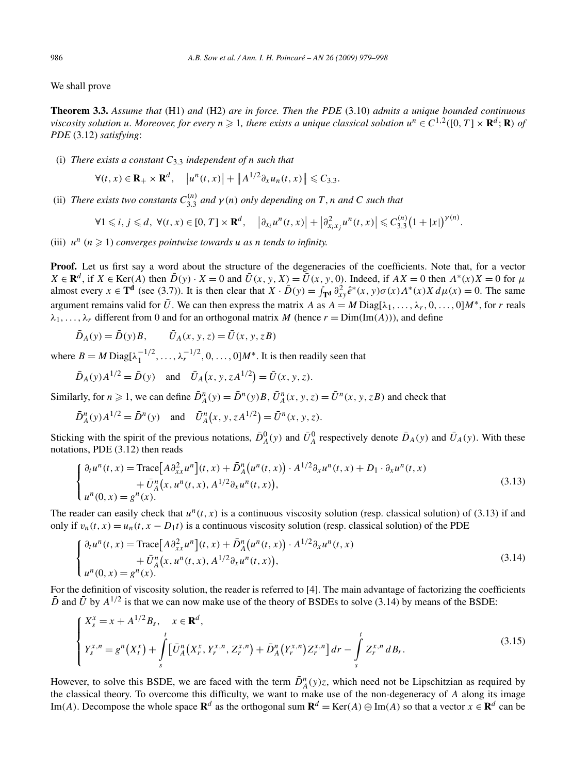We shall prove

**Theorem 3.3.** *Assume that* (H1) *and* (H2) *are in force. Then the PDE* (3.10) *admits a unique bounded continuous viscosity solution u. Moreover, for every*  $n \geq 1$ *, there exists a unique classical solution*  $u^n \in C^{1,2}([0,T] \times \mathbb{R}^d; \mathbb{R})$  of *PDE* (3.12) *satisfying*:

(i) *There exists a constant C*3*.*<sup>3</sup> *independent of n such that*

$$
\forall (t, x) \in \mathbf{R}_+ \times \mathbf{R}^d, \quad \left| u^n(t, x) \right| + \left\| A^{1/2} \partial_x u_n(t, x) \right\| \leq C_{3,3}.
$$

(ii) *There exists two constants*  $C_{3,3}^{(n)}$  *and*  $\gamma(n)$  *only depending on T*, *n and C such that* 

$$
\forall 1 \leq i, j \leq d, \ \forall (t, x) \in [0, T] \times \mathbf{R}^d, \quad \left| \partial_{x_i} u^n(t, x) \right| + \left| \partial_{x_i x_j}^2 u^n(t, x) \right| \leq C_{3,3}^{(n)} \big( 1 + |x| \big)^{\gamma(n)}.
$$

(iii)  $u^n$  ( $n \ge 1$ ) *converges pointwise towards u as n tends to infinity.* 

**Proof.** Let us first say a word about the structure of the degeneracies of the coefficients. Note that, for a vector  $X \in \mathbf{R}^d$ , if  $X \in \text{Ker}(A)$  then  $\overline{D}(y) \cdot X = 0$  and  $\overline{U}(x, y, X) = \overline{U}(x, y, 0)$ . Indeed, if  $AX = 0$  then  $\Lambda^*(x)X = 0$  for  $\mu$ almost every  $x \in \mathbf{T}^d$  (see (3.7)). It is then clear that  $X \cdot \overline{D}(y) = \int_{\mathbf{T}^d} \frac{\partial^2}{\partial x^y} \hat{e}^*(x, y) \sigma(x) \Lambda^*(x) X d\mu(x) = 0$ . The same argument remains valid for  $\bar{U}$ . We can then express the matrix *A* as  $A = M \text{Diag}[\lambda_1, \ldots, \lambda_r, 0, \ldots, 0]M^*$ , for *r* reals  $\lambda_1, \ldots, \lambda_r$  different from 0 and for an orthogonal matrix *M* (hence  $r = \text{Dim}(\text{Im}(A))$ ), and define

$$
\bar{D}_A(y) = \bar{D}(y)B, \qquad \bar{U}_A(x, y, z) = \bar{U}(x, y, zB)
$$

where  $B = M \text{Diag}[\lambda_1^{-1/2}, \ldots, \lambda_r^{-1/2}, 0, \ldots, 0]M^*$ . It is then readily seen that

$$
\bar{D}_A(y)A^{1/2} = \bar{D}(y)
$$
 and  $\bar{U}_A(x, y, zA^{1/2}) = \bar{U}(x, y, z).$ 

Similarly, for  $n \ge 1$ , we can define  $\overline{D}_A^n(y) = \overline{D}^n(y)B$ ,  $\overline{U}_A^n(x, y, z) = \overline{U}^n(x, y, zB)$  and check that

$$
\bar{D}_A^n(y)A^{1/2} = \bar{D}^n(y)
$$
 and  $\bar{U}_A^n(x, y, zA^{1/2}) = \bar{U}^n(x, y, z).$ 

Sticking with the spirit of the previous notations,  $\bar{D}_A^0(y)$  and  $\bar{U}_A^0$  respectively denote  $\bar{D}_A(y)$  and  $\bar{U}_A(y)$ . With these notations, PDE (3.12) then reads

$$
\begin{cases} \partial_t u^n(t,x) = \text{Trace}\big[A \partial_{xx}^2 u^n \big](t,x) + \bar{D}_A^n \big(u^n(t,x)\big) \cdot A^{1/2} \partial_x u^n(t,x) + D_1 \cdot \partial_x u^n(t,x) \\ \qquad + \bar{U}_A^n \big(x, u^n(t,x), A^{1/2} \partial_x u^n(t,x)\big), \\ u^n(0,x) = g^n(x). \end{cases} \tag{3.13}
$$

The reader can easily check that  $u^n(t, x)$  is a continuous viscosity solution (resp. classical solution) of (3.13) if and only if  $v_n(t, x) = u_n(t, x - D_1t)$  is a continuous viscosity solution (resp. classical solution) of the PDE

$$
\begin{cases} \partial_t u^n(t,x) = \text{Trace}\big[A \partial_{xx}^2 u^n\big](t,x) + \bar{D}_A^n \big(u^n(t,x)\big) \cdot A^{1/2} \partial_x u^n(t,x) \\ \qquad + \bar{U}_A^n \big(x, u^n(t,x), A^{1/2} \partial_x u^n(t,x)\big), \\ u^n(0,x) = g^n(x). \end{cases} \tag{3.14}
$$

For the definition of viscosity solution, the reader is referred to [4]. The main advantage of factorizing the coefficients  $\overline{D}$  and  $\overline{U}$  by  $A^{1/2}$  is that we can now make use of the theory of BSDEs to solve (3.14) by means of the BSDE:

$$
\begin{cases}\nX_s^x = x + A^{1/2} B_s, & x \in \mathbf{R}^d, \\
Y_s^{x,n} = g^n(X_t^x) + \int_s^t \left[ \bar{U}_A^n(X_r^x, Y_r^{x,n}, Z_r^{x,n}) + \bar{D}_A^n(Y_r^{x,n}) Z_r^{x,n} \right] dr - \int_s^t Z_r^{x,n} dB_r.\n\end{cases}
$$
\n(3.15)

However, to solve this BSDE, we are faced with the term  $\bar{D}_A^n(y)z$ , which need not be Lipschitzian as required by the classical theory. To overcome this difficulty, we want to make use of the non-degeneracy of *A* along its image Im(A). Decompose the whole space  $\mathbb{R}^d$  as the orthogonal sum  $\mathbb{R}^d = \text{Ker}(A) \oplus \text{Im}(A)$  so that a vector  $x \in \mathbb{R}^d$  can be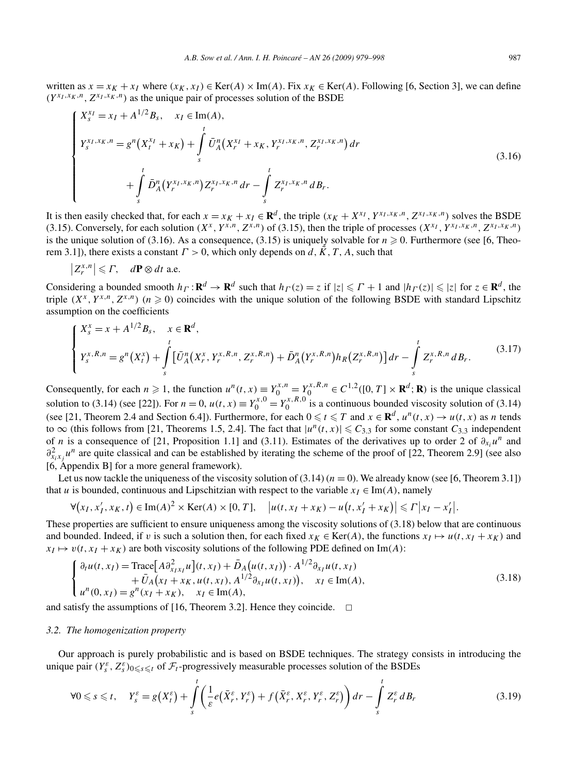written as  $x = x_K + x_I$  where  $(x_K, x_I) \in \text{Ker}(A) \times \text{Im}(A)$ . Fix  $x_K \in \text{Ker}(A)$ . Following [6, Section 3], we can define  $(Y^{x_I, x_K, n}, Z^{x_I, x_K, n})$  as the unique pair of processes solution of the BSDE

$$
\begin{cases}\nX_s^{x_I} = x_I + A^{1/2} B_s, & x_I \in \text{Im}(A), \\
Y_s^{x_I, x_K, n} = g^n (X_t^{x_I} + x_K) + \int_s^t \bar{U}_A^n (X_t^{x_I} + x_K, Y_t^{x_I, x_K, n}, Z_t^{x_I, x_K, n}) dr \\
&+ \int_s^t \bar{D}_A^n (Y_t^{x_I, x_K, n}) Z_t^{x_I, x_K, n} dr - \int_s^t Z_t^{x_I, x_K, n} dB_t.\n\end{cases}
$$
\n(3.16)

It is then easily checked that, for each  $x = x_K + x_I \in \mathbb{R}^d$ , the triple  $(x_K + X^{x_I}, Y^{x_I, x_K, n}, Z^{x_I, x_K, n})$  solves the BSDE (3.15). Conversely, for each solution  $(X^x, Y^{x,n}, Z^{x,n})$  of (3.15), then the triple of processes  $(X^{x_1}, Y^{x_1, x_K, n}, Z^{x_1, x_K, n})$ is the unique solution of (3.16). As a consequence, (3.15) is uniquely solvable for  $n \geq 0$ . Furthermore (see [6, Theorem 3.1]), there exists a constant  $\Gamma > 0$ , which only depends on *d*,  $\tilde{K}$ , *T*, *A*, such that

$$
\left|Z_r^{x,n}\right| \leqslant \varGamma, \quad d\mathbf{P} \otimes dt \text{ a.e.}
$$

Considering a bounded smooth  $h_{\Gamma} : \mathbf{R}^d \to \mathbf{R}^d$  such that  $h_{\Gamma}(z) = z$  if  $|z| \leq \Gamma + 1$  and  $|h_{\Gamma}(z)| \leq |z|$  for  $z \in \mathbf{R}^d$ , the triple  $(X^x, Y^{x,n}, Z^{x,n})$  ( $n \ge 0$ ) coincides with the unique solution of the following BSDE with standard Lipschitz assumption on the coefficients

$$
\begin{cases} X_s^x = x + A^{1/2} B_s, & x \in \mathbf{R}^d, \\ Y_s^{x, R, n} = g^n(X_t^x) + \int_s^t \left[ \bar{U}_A^n(X_r^x, Y_r^{x, R, n}, Z_r^{x, R, n}) + \bar{D}_A^n(Y_r^{x, R, n}) h_R(Z_r^{x, R, n}) \right] dr - \int_s^t Z_r^{x, R, n} dB_r. \end{cases} \tag{3.17}
$$

Consequently, for each  $n \ge 1$ , the function  $u^n(t, x) = Y_0^{x, n} = Y_0^{x, R, n} \in C^{1, 2}([0, T] \times \mathbb{R}^d; \mathbb{R})$  is the unique classical solution to (3.14) (see [22]). For  $n = 0$ ,  $u(t, x) \equiv Y_0^{x, 0} = Y_0^{x, R, 0}$  is a continuous bounded viscosity solution of (3.14) (see [21, Theorem 2.4 and Section 6.4]). Furthermore, for each  $0 \le t \le T$  and  $x \in \mathbb{R}^d$ ,  $u^n(t, x) \to u(t, x)$  as *n* tends to  $\infty$  (this follows from [21, Theorems 1.5, 2.4]. The fact that  $|u^n(t, x)| \leq C_{3,3}$  for some constant  $C_{3,3}$  independent of *n* is a consequence of [21, Proposition 1.1] and (3.11). Estimates of the derivatives up to order 2 of  $\partial_{x_i} u^n$  and  $\partial_{x_i x_j}^2 u^n$  are quite classical and can be established by iterating the scheme of the proof of [22, Theorem 2.9] (see also [6, Appendix B] for a more general framework).

Let us now tackle the uniqueness of the viscosity solution of  $(3.14)$  ( $n = 0$ ). We already know (see [6, Theorem 3.1]) that *u* is bounded, continuous and Lipschitzian with respect to the variable  $x_I \in \text{Im}(A)$ , namely

$$
\forall (x_1, x_1', x_K, t) \in \text{Im}(A)^2 \times \text{Ker}(A) \times [0, T], \quad |u(t, x_1 + x_K) - u(t, x_1' + x_K)| \leq \Gamma |x_1 - x_1'|.
$$

These properties are sufficient to ensure uniqueness among the viscosity solutions of (3.18) below that are continuous and bounded. Indeed, if *v* is such a solution then, for each fixed  $x_K \in \text{Ker}(A)$ , the functions  $x_I \mapsto u(t, x_I + x_K)$  and  $x_I \mapsto v(t, x_I + x_K)$  are both viscosity solutions of the following PDE defined on Im(A):

$$
\begin{cases}\n\partial_t u(t, x_I) = \text{Trace}\big[A \partial_{x_I x_I}^2 u\big](t, x_I) + \bar{D}_A \big(u(t, x_I)\big) \cdot A^{1/2} \partial_{x_I} u(t, x_I) \\
+ \bar{U}_A \big(x_I + x_K, u(t, x_I), A^{1/2} \partial_{x_I} u(t, x_I)\big), \quad x_I \in \text{Im}(A), \\
u^n(0, x_I) = g^n(x_I + x_K), \quad x_I \in \text{Im}(A),\n\end{cases} (3.18)
$$

and satisfy the assumptions of [16, Theorem 3.2]. Hence they coincide.  $\Box$ 

## *3.2. The homogenization property*

Our approach is purely probabilistic and is based on BSDE techniques. The strategy consists in introducing the unique pair  $(Y_s^{\varepsilon}, Z_s^{\varepsilon})_{0 \leq s \leq t}$  of  $\mathcal{F}_t$ -progressively measurable processes solution of the BSDEs

$$
\forall 0 \leqslant s \leqslant t, \quad Y_s^{\varepsilon} = g\big(X_t^{\varepsilon}\big) + \int\limits_s^t \bigg( \frac{1}{\varepsilon} e\big(\bar{X}_r^{\varepsilon}, Y_r^{\varepsilon}\big) + f\big(\bar{X}_r^{\varepsilon}, X_r^{\varepsilon}, Y_r^{\varepsilon}, Z_r^{\varepsilon}\big) \bigg) \, dr - \int\limits_s^t Z_r^{\varepsilon} \, dB_r \tag{3.19}
$$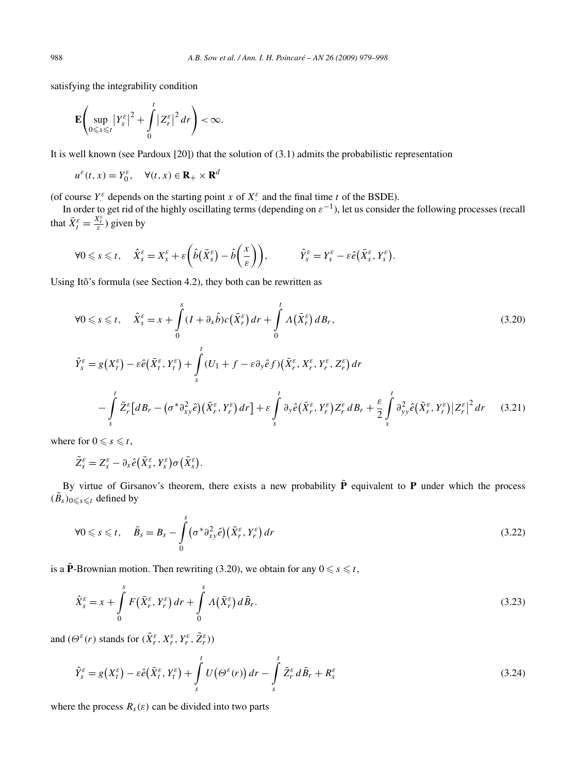satisfying the integrability condition

$$
\mathbf{E}\left(\sup_{0\leq s\leq t}|Y_{s}^{\varepsilon}|^{2}+\int_{0}^{t}|Z_{r}^{\varepsilon}|^{2}dr\right)<\infty.
$$

It is well known (see Pardoux [20]) that the solution of (3.1) admits the probabilistic representation

$$
u^{\varepsilon}(t,x) = Y_0^{\varepsilon}, \quad \forall (t,x) \in \mathbf{R}_+ \times \mathbf{R}^d
$$

(of course  $Y^{\varepsilon}$  depends on the starting point *x* of  $X^{\varepsilon}$  and the final time *t* of the BSDE).

In order to get rid of the highly oscillating terms (depending on *ε*<sup>−</sup>1), let us consider the following processes (recall that  $\bar{X}_t^{\varepsilon} = \frac{X_t^{\varepsilon}}{\varepsilon}$  given by

$$
\forall 0 \leqslant s \leqslant t, \quad \hat{X}_{s}^{\varepsilon} = X_{s}^{\varepsilon} + \varepsilon \bigg( \hat{b}(\bar{X}_{s}^{\varepsilon}) - \hat{b}\bigg(\frac{x}{\varepsilon}\bigg) \bigg), \qquad \qquad \hat{Y}_{s}^{\varepsilon} = Y_{s}^{\varepsilon} - \varepsilon \hat{e}(\bar{X}_{s}^{\varepsilon}, Y_{s}^{\varepsilon}).
$$

Using Itô's formula (see Section 4.2), they both can be rewritten as

$$
\forall 0 \leq s \leq t, \quad \hat{X}_{s}^{\varepsilon} = x + \int_{0}^{s} (I + \partial_{x} \hat{b}) c(\bar{X}_{r}^{\varepsilon}) dr + \int_{0}^{t} \Lambda(\bar{X}_{r}^{\varepsilon}) dB_{r},
$$
\n
$$
\hat{Y}_{s}^{\varepsilon} = g(X_{t}^{\varepsilon}) - \varepsilon \hat{e}(\bar{X}_{t}^{\varepsilon}, Y_{t}^{\varepsilon}) + \int_{s}^{t} (U_{1} + f - \varepsilon \partial_{y} \hat{e} f)(\bar{X}_{r}^{\varepsilon}, X_{r}^{\varepsilon}, Y_{r}^{\varepsilon}, Z_{r}^{\varepsilon}) dr
$$
\n
$$
- \int_{s}^{t} \tilde{Z}_{r}^{\varepsilon} [dB_{r} - (\sigma^{*} \partial_{xy}^{2} \hat{e})(\bar{X}_{r}^{\varepsilon}, Y_{r}^{\varepsilon}) dr] + \varepsilon \int_{s}^{t} \partial_{y} \hat{e}(\bar{X}_{r}^{\varepsilon}, Y_{r}^{\varepsilon}) Z_{r}^{\varepsilon} dB_{r} + \frac{\varepsilon}{2} \int_{s}^{t} \partial_{yy}^{2} \hat{e}(\bar{X}_{r}^{\varepsilon}, Y_{r}^{\varepsilon}) |Z_{r}^{\varepsilon}|^{2} dr \quad (3.21)
$$

where for  $0 \le s \le t$ ,

$$
\tilde{Z}_{s}^{\varepsilon}=Z_{s}^{\varepsilon}-\partial_{x}\hat{e}(\bar{X}_{s}^{\varepsilon},Y_{s}^{\varepsilon})\sigma(\bar{X}_{s}^{\varepsilon}).
$$

By virtue of Girsanov's theorem, there exists a new probability  $\tilde{P}$  equivalent to **P** under which the process  $(\tilde{B}_s)_{0 \leq s \leq t}$  defined by

$$
\forall 0 \leqslant s \leqslant t, \quad \tilde{B}_s = B_s - \int\limits_0^s \bigl( \sigma^* \partial_{xy}^2 \hat{e} \bigr) \bigl( \bar{X}_r^{\varepsilon}, Y_r^{\varepsilon} \bigr) \, dr \tag{3.22}
$$

is a  $\tilde{P}$ -Brownian motion. Then rewriting (3.20), we obtain for any  $0 \le s \le t$ ,

$$
\hat{X}_s^{\varepsilon} = x + \int\limits_0^s F(\bar{X}_r^{\varepsilon}, Y_r^{\varepsilon}) dr + \int\limits_0^s \Lambda(\bar{X}_r^{\varepsilon}) d\tilde{B}_r.
$$
\n(3.23)

and  $(\Theta^{\varepsilon}(r))$  stands for  $(\bar{X}_r^{\varepsilon}, X_r^{\varepsilon}, Y_r^{\varepsilon}, \tilde{Z}_r^{\varepsilon})$ 

$$
\hat{Y}_s^{\varepsilon} = g(X_t^{\varepsilon}) - \varepsilon \hat{e}(\bar{X}_t^{\varepsilon}, Y_t^{\varepsilon}) + \int_s^t U(\Theta^{\varepsilon}(r)) dr - \int_s^t \tilde{Z}_r^{\varepsilon} d\tilde{B}_r + R_s^{\varepsilon}
$$
\n(3.24)

where the process  $R_s(\varepsilon)$  can be divided into two parts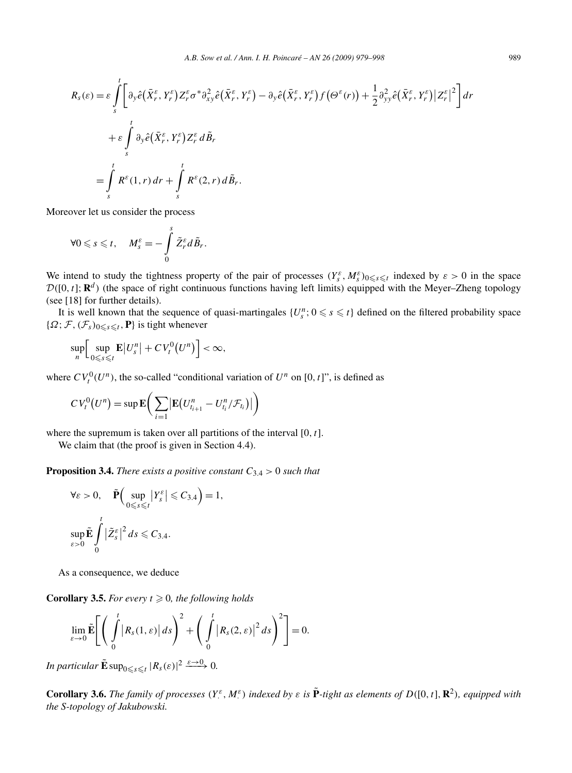$$
R_{s}(\varepsilon) = \varepsilon \int_{s}^{t} \left[ \partial_{y} \hat{e} \left( \bar{X}_{r}^{\varepsilon}, Y_{r}^{\varepsilon} \right) Z_{r}^{\varepsilon} \sigma^{*} \partial_{xy}^{2} \hat{e} \left( \bar{X}_{r}^{\varepsilon}, Y_{r}^{\varepsilon} \right) - \partial_{y} \hat{e} \left( \bar{X}_{r}^{\varepsilon}, Y_{r}^{\varepsilon} \right) f \left( \Theta^{\varepsilon}(r) \right) + \frac{1}{2} \partial_{yy}^{2} \hat{e} \left( \bar{X}_{r}^{\varepsilon}, Y_{r}^{\varepsilon} \right) \left| Z_{r}^{\varepsilon} \right|^{2} \right] dr
$$
  
+ 
$$
\varepsilon \int_{s}^{t} \partial_{y} \hat{e} \left( \bar{X}_{r}^{\varepsilon}, Y_{r}^{\varepsilon} \right) Z_{r}^{\varepsilon} d\tilde{B}_{r}
$$
  
= 
$$
\int_{s}^{t} R^{\varepsilon}(1, r) dr + \int_{s}^{t} R^{\varepsilon}(2, r) d\tilde{B}_{r}.
$$

Moreover let us consider the process

$$
\forall 0 \leqslant s \leqslant t, \quad M_s^{\varepsilon} = -\int\limits_0^s \tilde{Z}_r^{\varepsilon} d\tilde{B}_r.
$$

We intend to study the tightness property of the pair of processes  $(Y_s^{\varepsilon}, M_s^{\varepsilon})_{0 \leq s \leq t}$  indexed by  $\varepsilon > 0$  in the space  $\mathcal{D}([0, t]; \mathbb{R}^d)$  (the space of right continuous functions having left limits) equipped with the Meyer–Zheng topology (see [18] for further details).

It is well known that the sequence of quasi-martingales  $\{U_s^n; 0 \le s \le t\}$  defined on the filtered probability space  ${\Omega; \mathcal{F}, (\mathcal{F}_s)_{0 \leq s \leq t}, \mathbf{P}}$  is tight whenever

$$
\sup_n \Big[ \sup_{0 \leq s \leq t} \mathbf{E} |U_s^n| + C V_t^0(U^n) \Big] < \infty,
$$

where  $CV_t^0(U^n)$ , the so-called "conditional variation of  $U^n$  on  $[0, t]$ ", is defined as

$$
CV_t^0(U^n) = \sup \mathbf{E}\bigg(\sum_{i=1} \big|\mathbf{E}\big(U_{t_{i+1}}^n - U_{t_i}^n/\mathcal{F}_{t_i}\big)\big|\bigg)
$$

where the supremum is taken over all partitions of the interval [0*,t*].

We claim that (the proof is given in Section 4.4).

**Proposition 3.4.** *There exists a positive constant*  $C_{3,4} > 0$  *such that* 

$$
\forall \varepsilon > 0, \quad \tilde{\mathbf{P}} \Big( \sup_{0 \le s \le t} |Y_s^{\varepsilon}| \le C_{3,4} \Big) = 1,
$$
  

$$
\sup_{\varepsilon > 0} \tilde{\mathbf{E}} \int_{0}^{t} |\tilde{Z}_s^{\varepsilon}|^2 ds \le C_{3,4}.
$$

As a consequence, we deduce

**Corollary 3.5.** For every  $t \geq 0$ , the following holds

$$
\lim_{\varepsilon\to 0}\tilde{\mathbf{E}}\Bigg[\Bigg(\int_0^t\big|R_s(1,\varepsilon)\big|ds\Bigg)^2+\Bigg(\int_0^t\big|R_s(2,\varepsilon)\big|^2ds\Bigg)^2\Bigg]=0.
$$

*In particular*  $\tilde{\mathbf{E}} \sup_{0 \leq s \leq t} |R_s(\varepsilon)|^2 \xrightarrow{\varepsilon \to 0} 0$ .

**Corollary 3.6.** The family of processes  $(Y^{\varepsilon}_\cdot, M^{\varepsilon}_\cdot)$  indexed by  $\varepsilon$  is  $\tilde{P}$ -tight as elements of  $D([0, t], \mathbb{R}^2)$ , equipped with *the S-topology of Jakubowski.*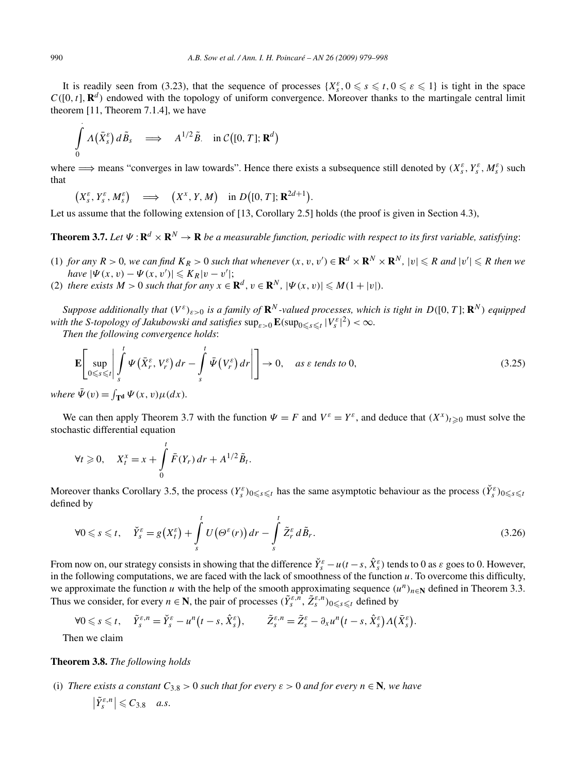It is readily seen from (3.23), that the sequence of processes  $\{X_s^{\varepsilon}, 0 \le s \le t, 0 \le \varepsilon \le 1\}$  is tight in the space  $C([0, t], \mathbf{R}^d)$  endowed with the topology of uniform convergence. Moreover thanks to the martingale central limit theorem [11, Theorem 7.1.4], we have

$$
\int\limits_{0}^{1} \Lambda(\bar{X}_{s}^{\varepsilon}) d\tilde{B}_{s} \quad \Longrightarrow \quad A^{1/2} \tilde{B} \quad \text{in } C([0, T]; \mathbf{R}^{d})
$$

where  $\implies$  means "converges in law towards". Hence there exists a subsequence still denoted by  $(X_s^{\varepsilon}, Y_s^{\varepsilon}, M_s^{\varepsilon})$  such that

$$
(X_s^{\varepsilon},Y_s^{\varepsilon},M_s^{\varepsilon}) \quad \Longrightarrow \quad (X^x,Y,M) \quad \text{in } D([0,T];\mathbf{R}^{2d+1}).
$$

Let us assume that the following extension of [13, Corollary 2.5] holds (the proof is given in Section 4.3),

**Theorem 3.7.** *Let*  $\Psi$  :  $\mathbb{R}^d \times \mathbb{R}^N \to \mathbb{R}$  *be a measurable function, periodic with respect to its first variable, satisfying*:

(1) for any  $R > 0$ , we can find  $K_R > 0$  such that whenever  $(x, v, v') \in \mathbf{R}^d \times \mathbf{R}^N \times \mathbf{R}^N$ ,  $|v| \le R$  and  $|v'| \le R$  then we  $have |\Psi(x, v) - \Psi(x, v')| \leqslant K_R |v - v'|;$ 

(2) *there exists*  $M > 0$  *such that for any*  $x \in \mathbb{R}^d$ ,  $v \in \mathbb{R}^N$ ,  $|\Psi(x, v)| \leq M(1 + |v|)$ *.* 

*Suppose additionally that*  $(V^{\varepsilon})_{\varepsilon>0}$  *is a family of*  $\mathbb{R}^{N}$ -valued processes, which is tight in  $D([0, T]; \mathbb{R}^{N})$  equipped *with the S-topology of Jakubowski and satisfies*  $\sup_{\varepsilon>0} \mathbf{E}(\sup_{0\leq s\leq t}|V_s^{\varepsilon}|^2) < \infty$ .

*Then the following convergence holds*:

$$
\mathbf{E}\left[\sup_{0\leq s\leq t}\left|\int_{s}^{t}\Psi\left(\bar{X}_{r}^{\varepsilon},V_{r}^{\varepsilon}\right)dr-\int_{s}^{t}\bar{\Psi}\left(V_{r}^{\varepsilon}\right)dr\right|\right]\to 0, \quad \text{as } \varepsilon \text{ tends to 0},\tag{3.25}
$$

*where*  $\bar{\Psi}(v) = \int_{\mathbf{T}^d} \Psi(x, v) \mu(dx)$ *.* 

We can then apply Theorem 3.7 with the function  $\Psi = F$  and  $V^{\varepsilon} = Y^{\varepsilon}$ , and deduce that  $(X^x)_{t \geq 0}$  must solve the stochastic differential equation

$$
\forall t \geqslant 0, \quad X_t^x = x + \int\limits_0^t \bar{F}(Y_r) \, dr + A^{1/2} \tilde{B}_t.
$$

Moreover thanks Corollary 3.5, the process  $(Y_s^{\varepsilon})_{0 \leq s \leq t}$  has the same asymptotic behaviour as the process  $(\check{Y}_s^{\varepsilon})_{0 \leq s \leq t}$ defined by

$$
\forall 0 \leq s \leq t, \quad \breve{Y}_s^{\varepsilon} = g(X_t^{\varepsilon}) + \int_s^t U(\Theta^{\varepsilon}(r)) dr - \int_s^t \tilde{Z}_r^{\varepsilon} d\tilde{B}_r. \tag{3.26}
$$

From now on, our strategy consists in showing that the difference  $\check{Y}_s^{\varepsilon} - u(t-s, \hat{X}_s^{\varepsilon})$  tends to 0 as  $\varepsilon$  goes to 0. However, in the following computations, we are faced with the lack of smoothness of the function *u*. To overcome this difficulty, we approximate the function *u* with the help of the smooth approximating sequence  $(u^n)_{n\in\mathbb{N}}$  defined in Theorem 3.3. Thus we consider, for every  $n \in \mathbb{N}$ , the pair of processes  $(\tilde{Y}_s^{\varepsilon,n}, \tilde{Z}_s^{\varepsilon,n})_{0 \le s \le t}$  defined by

$$
\forall 0 \leqslant s \leqslant t, \quad \tilde{Y}_{s}^{\varepsilon,n} = \tilde{Y}_{s}^{\varepsilon} - u^{n}\big(t-s, \hat{X}_{s}^{\varepsilon}\big), \qquad \tilde{Z}_{s}^{\varepsilon,n} = \tilde{Z}_{s}^{\varepsilon} - \partial_{x}u^{n}\big(t-s, \hat{X}_{s}^{\varepsilon}\big) \Lambda \big(\bar{X}_{s}^{\varepsilon}\big).
$$

Then we claim

#### **Theorem 3.8.** *The following holds*

(i) *There exists a constant*  $C_{3,8} > 0$  *such that for every*  $\varepsilon > 0$  *and for every*  $n \in \mathbb{N}$ *, we have*  $|\tilde{Y}_{s}^{\varepsilon,n}| \leq C_{3.8}$  *a.s.*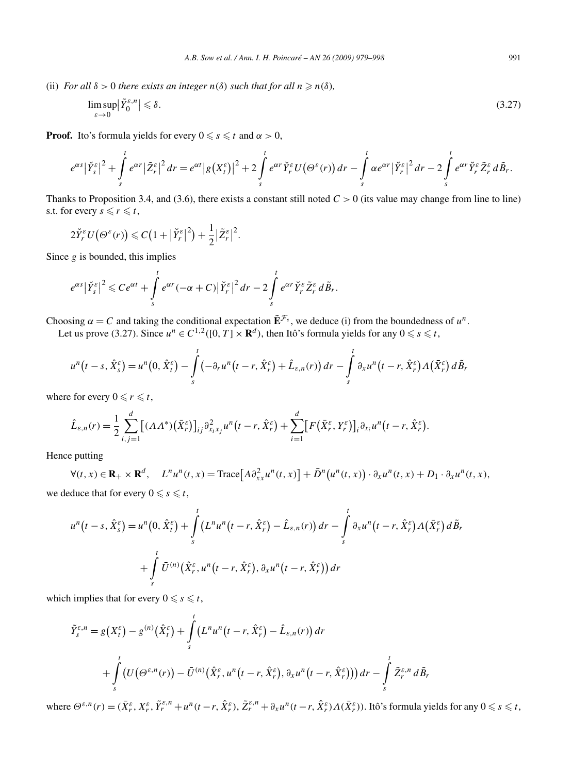(ii) *For all*  $\delta > 0$  *there exists an integer*  $n(\delta)$  *such that for all*  $n \ge n(\delta)$ *,* 

$$
\limsup_{\varepsilon \to 0} |\tilde{Y}_0^{\varepsilon,n}| \leq \delta. \tag{3.27}
$$

**Proof.** Ito's formula yields for every  $0 \le s \le t$  and  $\alpha > 0$ ,

$$
e^{\alpha s}|\check{Y}_s^{\varepsilon}|^2+\int\limits_s^t e^{\alpha r}|\tilde{Z}_r^{\varepsilon}|^2dr=e^{\alpha t}|g(X_t^{\varepsilon})|^2+2\int\limits_s^t e^{\alpha r}\check{Y}_r^{\varepsilon}U(\Theta^{\varepsilon}(r))dr-\int\limits_s^t \alpha e^{\alpha r}|\check{Y}_r^{\varepsilon}|^2dr-2\int\limits_s^t e^{\alpha r}\check{Y}_r^{\varepsilon}\tilde{Z}_r^{\varepsilon}d\tilde{B}_r.
$$

Thanks to Proposition 3.4, and (3.6), there exists a constant still noted  $C > 0$  (its value may change from line to line) s.t. for every  $s \le r \le t$ ,

$$
2\breve{Y}_r^{\varepsilon}U\big(\Theta^{\varepsilon}(r)\big)\leqslant C\big(1+\big|\breve{Y}_r^{\varepsilon}\big|^2\big)+\frac{1}{2}\big|\tilde{Z}_r^{\varepsilon}\big|^2.
$$

Since *g* is bounded, this implies

$$
e^{\alpha s}|\check{Y}_s^{\varepsilon}|^2 \leqslant Ce^{\alpha t}+\int\limits_s^t e^{\alpha r}(-\alpha+C)|\check{Y}_r^{\varepsilon}|^2 dr-2\int\limits_s^t e^{\alpha r} \check{Y}_r^{\varepsilon}\tilde{Z}_r^{\varepsilon} d\tilde{B}_r.
$$

Choosing  $\alpha = C$  and taking the conditional expectation  $\tilde{\mathbf{E}}^{\mathcal{F}_s}$ , we deduce (i) from the boundedness of  $u^n$ .

Let us prove (3.27). Since  $u^n \in C^{1,2}([0,T] \times \mathbf{R}^d)$ , then Itô's formula yields for any  $0 \leqslant s \leqslant t$ ,

$$
u^{n}(t-s,\hat{X}_{s}^{\varepsilon})=u^{n}(0,\hat{X}_{t}^{\varepsilon})-\int_{s}^{t}(-\partial_{r}u^{n}(t-r,\hat{X}_{r}^{\varepsilon})+\hat{L}_{\varepsilon,n}(r))dr-\int_{s}^{t}\partial_{x}u^{n}(t-r,\hat{X}_{r}^{\varepsilon})\Lambda(\bar{X}_{r}^{\varepsilon})d\tilde{B}_{r}
$$

where for every  $0 \le r \le t$ ,

$$
\hat{L}_{\varepsilon,n}(r) = \frac{1}{2} \sum_{i,j=1}^d \big[ (\Lambda \Lambda^*) (\bar{X}_r^{\varepsilon}) \big]_{ij} \partial_{x_i x_j}^2 u^n \big( r - r, \hat{X}_r^{\varepsilon} \big) + \sum_{i=1}^d \big[ F (\bar{X}_r^{\varepsilon}, Y_r^{\varepsilon}) \big]_i \partial_{x_i} u^n \big( r - r, \hat{X}_r^{\varepsilon} \big).
$$

Hence putting

 $\forall (t, x) \in \mathbf{R}_+ \times \mathbf{R}^d$ ,  $L^n u^n(t, x) = \text{Trace}\Big[A \partial_{xx}^2 u^n(t, x)\Big] + \overline{D}^n(u^n(t, x)) \cdot \partial_x u^n(t, x) + D_1 \cdot \partial_x u^n(t, x),$ we deduce that for every  $0 \le s \le t$ ,

$$
u^{n}(t-s, \hat{X}_{s}^{\varepsilon}) = u^{n}(0, \hat{X}_{t}^{\varepsilon}) + \int_{s}^{t} (L^{n}u^{n}(t-r, \hat{X}_{r}^{\varepsilon}) - \hat{L}_{\varepsilon,n}(r)) dr - \int_{s}^{t} \partial_{x}u^{n}(t-r, \hat{X}_{r}^{\varepsilon}) \Lambda(\bar{X}_{r}^{\varepsilon}) d\tilde{B}_{t}
$$

$$
+ \int_{s}^{t} \bar{U}^{(n)}(\hat{X}_{r}^{\varepsilon}, u^{n}(t-r, \hat{X}_{r}^{\varepsilon}), \partial_{x}u^{n}(t-r, \hat{X}_{r}^{\varepsilon})) dr
$$

which implies that for every  $0 \le s \le t$ ,

$$
\tilde{Y}_{s}^{\varepsilon,n} = g(X_{t}^{\varepsilon}) - g^{(n)}(\hat{X}_{t}^{\varepsilon}) + \int_{s}^{t} \left( L^{n} u^{n} (t - r, \hat{X}_{r}^{\varepsilon}) - \hat{L}_{\varepsilon,n}(r) \right) dr \n+ \int_{s}^{t} \left( U(\Theta^{\varepsilon,n}(r)) - \bar{U}^{(n)}(\hat{X}_{r}^{\varepsilon}, u^{n} (t - r, \hat{X}_{r}^{\varepsilon}), \partial_{x} u^{n} (t - r, \hat{X}_{r}^{\varepsilon})) \right) dr - \int_{s}^{t} \tilde{Z}_{r}^{\varepsilon,n} d\tilde{B}_{r}
$$

where  $\Theta^{\varepsilon,n}(r) = (\bar{X}_r^{\varepsilon}, X_r^{\varepsilon}, \tilde{Y}_r^{\varepsilon,n} + u^n(t-r, \hat{X}_r^{\varepsilon}), \tilde{Z}_r^{\varepsilon,n} + \partial_x u^n(t-r, \hat{X}_r^{\varepsilon}) \Lambda(\bar{X}_r^{\varepsilon}))$ . Itô's formula yields for any  $0 \le s \le t$ ,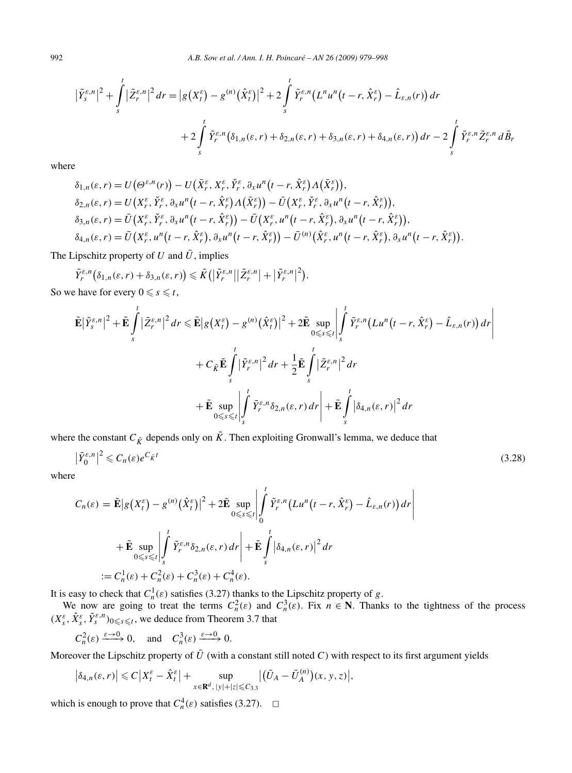$$
\left|\tilde{Y}_{s}^{\varepsilon,n}\right|^{2} + \int_{s}^{t} \left|\tilde{Z}_{r}^{\varepsilon,n}\right|^{2} dr = \left|g\left(X_{t}^{\varepsilon}\right) - g^{(n)}\left(\hat{X}_{t}^{\varepsilon}\right)\right|^{2} + 2 \int_{s}^{t} \tilde{Y}_{r}^{\varepsilon,n}\left(L^{n}u^{n}\left(t-r,\hat{X}_{r}^{\varepsilon}\right) - \hat{L}_{\varepsilon,n}(r)\right) dr
$$

$$
+ 2 \int_{s}^{t} \tilde{Y}_{r}^{\varepsilon,n}\left(\delta_{1,n}(\varepsilon,r) + \delta_{2,n}(\varepsilon,r) + \delta_{3,n}(\varepsilon,r) + \delta_{4,n}(\varepsilon,r)\right) dr - 2 \int_{s}^{t} \tilde{Y}_{r}^{\varepsilon,n}\tilde{Z}_{r}^{\varepsilon,n} d\tilde{B}_{r}
$$

where

$$
\delta_{1,n}(\varepsilon,r) = U\big(\Theta^{\varepsilon,n}(r)\big) - U\big(\bar{X}_r^{\varepsilon}, X_r^{\varepsilon}, \check{Y}_r^{\varepsilon}, \partial_x u^n\big(t-r, \hat{X}_r^{\varepsilon}\big) \Lambda\big(\bar{X}_r^{\varepsilon}\big)\big),
$$
  
\n
$$
\delta_{2,n}(\varepsilon,r) = U\big(X_r^{\varepsilon}, \check{Y}_r^{\varepsilon}, \partial_x u^n\big(t-r, \hat{X}_r^{\varepsilon}\big) \Lambda\big(\bar{X}_r^{\varepsilon}\big)\big) - \bar{U}\big(X_r^{\varepsilon}, \check{Y}_r^{\varepsilon}, \partial_x u^n\big(t-r, \hat{X}_r^{\varepsilon}\big)\big),
$$
  
\n
$$
\delta_{3,n}(\varepsilon,r) = \bar{U}\big(X_r^{\varepsilon}, \check{Y}_r^{\varepsilon}, \partial_x u^n\big(t-r, \hat{X}_r^{\varepsilon}\big)\big) - \bar{U}\big(X_r^{\varepsilon}, u^n\big(t-r, \hat{X}_r^{\varepsilon}\big), \partial_x u^n\big(t-r, \hat{X}_r^{\varepsilon}\big)\big),
$$
  
\n
$$
\delta_{4,n}(\varepsilon,r) = \bar{U}\big(X_r^{\varepsilon}, u^n\big(t-r, \hat{X}_r^{\varepsilon}\big), \partial_x u^n\big(t-r, \hat{X}_r^{\varepsilon}\big)\big) - \bar{U}^{(n)}\big(\hat{X}_r^{\varepsilon}, u^n\big(t-r, \hat{X}_r^{\varepsilon}\big), \partial_x u^n\big(t-r, \hat{X}_r^{\varepsilon}\big)\big).
$$

The Lipschitz property of *U* and  $\bar{U}$ , implies

$$
\tilde{Y}_r^{\varepsilon,n}(\delta_{1,n}(\varepsilon,r)+\delta_{3,n}(\varepsilon,r))\leqslant \tilde{K}(|\tilde{Y}_r^{\varepsilon,n}||\tilde{Z}_r^{\varepsilon,n}|+|\tilde{Y}_r^{\varepsilon,n}|^2).
$$

So we have for every  $0 \le s \le t$ , *t*

$$
\tilde{\mathbf{E}}|\tilde{Y}_{s}^{\varepsilon,n}|^{2} + \tilde{\mathbf{E}}\int_{s}^{t}|\tilde{Z}_{r}^{\varepsilon,n}|^{2} dr \leq \tilde{\mathbf{E}}|g(X_{t}^{\varepsilon}) - g^{(n)}(\hat{X}_{t}^{\varepsilon})|^{2} + 2\tilde{\mathbf{E}}\sup_{0 \leq s \leq t} \left|\int_{s}^{t} \tilde{Y}_{r}^{\varepsilon,n}(Lu^{n}(t-r,\hat{X}_{r}^{\varepsilon}) - \hat{L}_{\varepsilon,n}(r)) dr \right|
$$
  
+  $C_{\tilde{K}}\tilde{\mathbf{E}}\int_{s}^{t} |\tilde{Y}_{r}^{\varepsilon,n}|^{2} dr + \frac{1}{2}\tilde{\mathbf{E}}\int_{s}^{t} |\tilde{Z}_{r}^{\varepsilon,n}|^{2} dr$   
+  $\tilde{\mathbf{E}}\sup_{0 \leq s \leq t} \left|\int_{s}^{t} \tilde{Y}_{r}^{\varepsilon,n} \delta_{2,n}(\varepsilon,r) dr \right| + \tilde{\mathbf{E}}\int_{s}^{t} |\delta_{4,n}(\varepsilon,r)|^{2} dr$ 

where the constant  $C_{\tilde{K}}$  depends only on  $\tilde{K}$ . Then exploiting Gronwall's lemma, we deduce that

$$
|\tilde{Y}_0^{\varepsilon,n}|^2 \leqslant C_n(\varepsilon) e^{C_{\tilde{K}}t} \tag{3.28}
$$

where

$$
C_n(\varepsilon) = \tilde{\mathbf{E}} |g(X_t^{\varepsilon}) - g^{(n)}(\hat{X}_t^{\varepsilon})|^2 + 2 \tilde{\mathbf{E}} \sup_{0 \le s \le t} \left| \int_0^t \tilde{Y}_r^{\varepsilon,n} (Lu^n(t - r, \hat{X}_r^{\varepsilon}) - \hat{L}_{\varepsilon,n}(r)) dr \right|
$$
  
+  $\tilde{\mathbf{E}} \sup_{0 \le s \le t} \left| \int_s^t \tilde{Y}_r^{\varepsilon,n} \delta_{2,n}(\varepsilon, r) dr \right| + \tilde{\mathbf{E}} \int_s^t |\delta_{4,n}(\varepsilon, r)|^2 dr$   
:=  $C_n^1(\varepsilon) + C_n^2(\varepsilon) + C_n^3(\varepsilon) + C_n^4(\varepsilon).$ 

It is easy to check that  $C_n^1(\varepsilon)$  satisfies (3.27) thanks to the Lipschitz property of *g*.

We now are going to treat the terms  $C_n^2(\varepsilon)$  and  $C_n^3(\varepsilon)$ . Fix  $n \in \mathbb{N}$ . Thanks to the tightness of the process  $(X_s^{\varepsilon}, \hat{X}_s^{\varepsilon}, \tilde{Y}_s^{\varepsilon,n})_{0 \leq s \leq t}$ , we deduce from Theorem 3.7 that

$$
C_n^2(\varepsilon) \xrightarrow{\varepsilon \to 0} 0
$$
, and  $C_n^3(\varepsilon) \xrightarrow{\varepsilon \to 0} 0$ .

Moreover the Lipschitz property of  $\bar{U}$  (with a constant still noted *C*) with respect to its first argument yields

$$
\left|\delta_{4,n}(\varepsilon,r)\right|\leqslant C\left|X_t^{\varepsilon}-\hat{X}_t^{\varepsilon}\right|+\sup_{x\in\mathbf{R}^d,\,|y|+|z|\leqslant C_{3,3}}\left|\left(\bar{U}_A-\bar{U}_A^{(n)}\right)(x,y,z)\right|,
$$

which is enough to prove that  $C_n^4(\varepsilon)$  satisfies (3.27).  $\Box$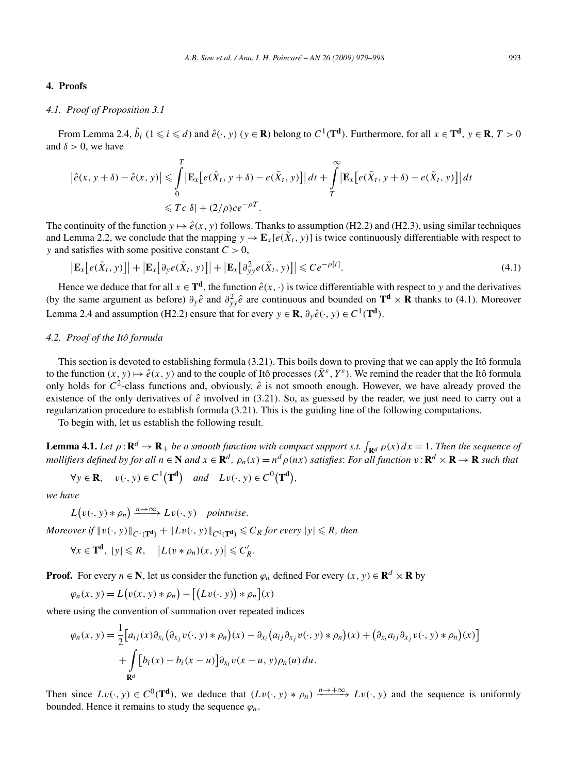#### **4. Proofs**

## *4.1. Proof of Proposition 3.1*

From Lemma 2.4,  $\hat{b}_i$  ( $1 \leq i \leq d$ ) and  $\hat{e}(\cdot, y)$  ( $y \in \mathbf{R}$ ) belong to  $C^1(\mathbf{T}^d)$ . Furthermore, for all  $x \in \mathbf{T}^d$ ,  $y \in \mathbf{R}$ ,  $T > 0$ and  $\delta > 0$ , we have

$$
\left|\hat{e}(x, y + \delta) - \hat{e}(x, y)\right| \leq \int_{0}^{T} \left|\mathbf{E}_{x}\left[e(\tilde{X}_{t}, y + \delta) - e(\tilde{X}_{t}, y)\right]\right| dt + \int_{T}^{\infty} \left|\mathbf{E}_{x}\left[e(\tilde{X}_{t}, y + \delta) - e(\tilde{X}_{t}, y)\right]\right| dt
$$
  

$$
\leq Tc|\delta| + (2/\rho)ce^{-\rho T}.
$$

The continuity of the function  $y \mapsto \hat{e}(x, y)$  follows. Thanks to assumption (H2.2) and (H2.3), using similar techniques and Lemma 2.2, we conclude that the mapping  $y \to \mathbf{E}_x[e(\tilde{X}_t, y)]$  is twice continuously differentiable with respect to *y* and satisfies with some positive constant  $C > 0$ ,

$$
\left| \mathbf{E}_{x} \big[ e(\tilde{X}_{t}, y) \big] \right| + \left| \mathbf{E}_{x} \big[ \partial_{y} e(\tilde{X}_{t}, y) \big] \right| + \left| \mathbf{E}_{x} \big[ \partial_{yy}^{2} e(\tilde{X}_{t}, y) \big] \right| \leqslant C e^{-\rho \left[ t \right]}.
$$
\n(4.1)

Hence we deduce that for all  $x \in \mathbf{T}^d$ , the function  $\hat{e}(x, \cdot)$  is twice differentiable with respect to *y* and the derivatives (by the same argument as before)  $\partial_y \hat{e}$  and  $\partial_{yy}^2 \hat{e}$  are continuous and bounded on  $\mathbf{T}^d \times \mathbf{R}$  thanks to (4.1). Moreover Lemma 2.4 and assumption (H2.2) ensure that for every  $y \in \mathbb{R}$ ,  $\partial_y \hat{e}(\cdot, y) \in C^1(\mathbb{T}^d)$ .

## *4.2. Proof of the Itô formula*

This section is devoted to establishing formula (3.21). This boils down to proving that we can apply the Itô formula to the function  $(x, y) \mapsto \hat{e}(x, y)$  and to the couple of Itô processes  $(\bar{X}^{\varepsilon}, Y^{\varepsilon})$ . We remind the reader that the Itô formula only holds for  $C^2$ -class functions and, obviously,  $\hat{e}$  is not smooth enough. However, we have already proved the existence of the only derivatives of  $\hat{e}$  involved in (3.21). So, as guessed by the reader, we just need to carry out a regularization procedure to establish formula (3.21). This is the guiding line of the following computations.

To begin with, let us establish the following result.

**Lemma 4.1.** Let  $\rho : \mathbf{R}^d \to \mathbf{R}_+$  be a smooth function with compact support s.t.  $\int_{\mathbf{R}^d} \rho(x) dx = 1$ . Then the sequence of mollifiers defined by for all  $n \in \mathbb{N}$  and  $x \in \mathbb{R}^d$ ,  $\rho_n(x) = n^d \rho(nx)$  satisfies: For all function  $v : \mathbb{R}^d \times \mathbb{R} \to \mathbb{R}$  such that

$$
\forall y \in \mathbf{R}, \quad v(\cdot, y) \in C^1(\mathbf{T}^d) \quad and \quad Lv(\cdot, y) \in C^0(\mathbf{T}^d),
$$

*we have*

 $L(v(\cdot, y) * \rho_n) \xrightarrow{n \to \infty} Lv(\cdot, y)$  *pointwise*.

*Moreover if*  $||v(\cdot, y)||_{C^1(\mathbf{T^d})} + ||Lv(\cdot, y)||_{C^0(\mathbf{T^d})} \leqslant C_R$  for every  $|y| \leqslant R$ , then

$$
\forall x \in \mathbf{T}^{\mathbf{d}}, \ |y| \leq R, \quad \left| L(v * \rho_n)(x, y) \right| \leqslant C_R'.
$$

**Proof.** For every  $n \in \mathbb{N}$ , let us consider the function  $\varphi_n$  defined For every  $(x, y) \in \mathbb{R}^d \times \mathbb{R}$  by

$$
\varphi_n(x, y) = L(v(x, y) * \rho_n) - [(Lv(\cdot, y)) * \rho_n](x)
$$

where using the convention of summation over repeated indices

$$
\varphi_n(x, y) = \frac{1}{2} \Big[ a_{ij}(x) \partial_{x_i} \big( \partial_{x_j} v(\cdot, y) * \rho_n \big)(x) - \partial_{x_i} \big( a_{ij} \partial_{x_j} v(\cdot, y) * \rho_n \big)(x) + \big( \partial_{x_i} a_{ij} \partial_{x_j} v(\cdot, y) * \rho_n \big)(x) \Big] + \int_{\mathbf{R}^d} \Big[ b_i(x) - b_i(x - u) \Big] \partial_{x_i} v(x - u, y) \rho_n(u) \, du.
$$

Then since  $Lv(\cdot, y) \in C^0(\mathbf{T}^d)$ , we deduce that  $(Lv(\cdot, y) * \rho_n) \xrightarrow{n \to +\infty} Lv(\cdot, y)$  and the sequence is uniformly bounded. Hence it remains to study the sequence  $\varphi_n$ .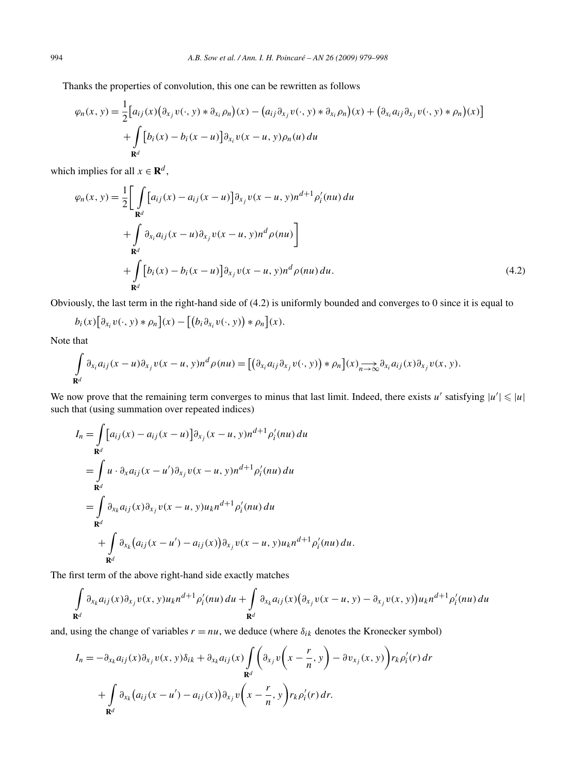Thanks the properties of convolution, this one can be rewritten as follows

$$
\varphi_n(x, y) = \frac{1}{2} \Big[ a_{ij}(x) \big( \partial_{x_j} v(\cdot, y) * \partial_{x_i} \rho_n \big)(x) - \big( a_{ij} \partial_{x_j} v(\cdot, y) * \partial_{x_i} \rho_n \big)(x) + \big( \partial_{x_i} a_{ij} \partial_{x_j} v(\cdot, y) * \rho_n \big)(x) \Big] + \int_{\mathbf{R}^d} \Big[ b_i(x) - b_i(x - u) \Big] \partial_{x_i} v(x - u, y) \rho_n(u) \, du
$$

which implies for all  $x \in \mathbb{R}^d$ ,

$$
\varphi_n(x, y) = \frac{1}{2} \Bigg[ \int_{\mathbf{R}^d} [a_{ij}(x) - a_{ij}(x - u)] \partial_{x_j} v(x - u, y) n^{d+1} \rho'_i(nu) du \n+ \int_{\mathbf{R}^d} \partial_{x_i} a_{ij}(x - u) \partial_{x_j} v(x - u, y) n^d \rho(nu) \Bigg] \n+ \int_{\mathbf{R}^d} [b_i(x) - b_i(x - u)] \partial_{x_j} v(x - u, y) n^d \rho(nu) du.
$$
\n(4.2)

Obviously, the last term in the right-hand side of (4.2) is uniformly bounded and converges to 0 since it is equal to

$$
b_i(x)\big[\partial_{x_i}v(\cdot,y)*\rho_n\big](x)-\big[\big(b_i\partial_{x_i}v(\cdot,y)\big)*\rho_n\big](x).
$$

Note that

$$
\int_{\mathbf{R}^d} \partial_{x_i} a_{ij}(x-u) \partial_{x_j} v(x-u, y) n^d \rho(nu) = \left[ \left( \partial_{x_i} a_{ij} \partial_{x_j} v(\cdot, y) \right) * \rho_n \right](x) \underset{n \to \infty}{\longrightarrow} \partial_{x_i} a_{ij}(x) \partial_{x_j} v(x, y).
$$

We now prove that the remaining term converges to minus that last limit. Indeed, there exists *u'* satisfying  $|u'| \leq |u|$ such that (using summation over repeated indices)

$$
I_n = \int_{\mathbf{R}^d} [a_{ij}(x) - a_{ij}(x - u)] \partial_{x_j}(x - u, y) n^{d+1} \rho'_i(nu) du
$$
  
\n
$$
= \int_{\mathbf{R}^d} u \cdot \partial_x a_{ij}(x - u') \partial_{x_j} v(x - u, y) n^{d+1} \rho'_i(nu) du
$$
  
\n
$$
= \int_{\mathbf{R}^d} \partial_{x_k} a_{ij}(x) \partial_{x_j} v(x - u, y) u_k n^{d+1} \rho'_i(nu) du
$$
  
\n
$$
+ \int_{\mathbf{R}^d} \partial_{x_k} (a_{ij}(x - u') - a_{ij}(x)) \partial_{x_j} v(x - u, y) u_k n^{d+1} \rho'_i(nu) du.
$$

The first term of the above right-hand side exactly matches

$$
\int_{\mathbf{R}^d} \partial_{x_k} a_{ij}(x) \partial_{x_j} v(x, y) u_k n^{d+1} \rho'_i(nu) du + \int_{\mathbf{R}^d} \partial_{x_k} a_{ij}(x) (\partial_{x_j} v(x-u, y) - \partial_{x_j} v(x, y)) u_k n^{d+1} \rho'_i(nu) du
$$

and, using the change of variables  $r = nu$ , we deduce (where  $\delta_{ik}$  denotes the Kronecker symbol)

$$
I_n = -\partial_{x_k} a_{ij}(x) \partial_{x_j} v(x, y) \delta_{ik} + \partial_{x_k} a_{ij}(x) \int \limits_{\mathbf{R}^d} \left( \partial_{x_j} v \left( x - \frac{r}{n}, y \right) - \partial v_{x_j}(x, y) \right) r_k \rho'_i(r) dr
$$
  
+ 
$$
\int \limits_{\mathbf{R}^d} \partial_{x_k} \left( a_{ij}(x - u') - a_{ij}(x) \right) \partial_{x_j} v \left( x - \frac{r}{n}, y \right) r_k \rho'_i(r) dr.
$$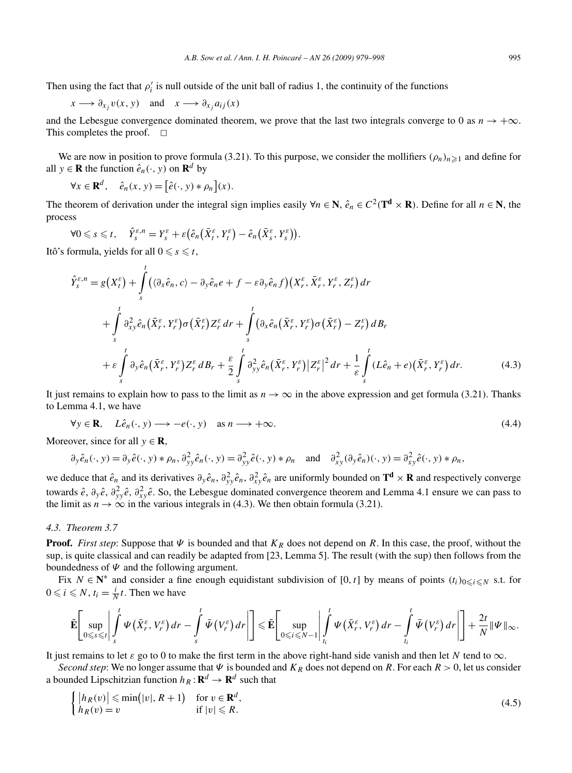Then using the fact that  $\rho'$  is null outside of the unit ball of radius 1, the continuity of the functions

$$
x \longrightarrow \partial_{x_j} v(x, y)
$$
 and  $x \longrightarrow \partial_{x_j} a_{ij}(x)$ 

and the Lebesgue convergence dominated theorem, we prove that the last two integrals converge to 0 as  $n \to +\infty$ . This completes the proof.  $\Box$ 

We are now in position to prove formula (3.21). To this purpose, we consider the mollifiers  $(\rho_n)_{n\geq 1}$  and define for all  $y \in \mathbf{R}$  the function  $\hat{e}_n(\cdot, y)$  on  $\mathbf{R}^d$  by

$$
\forall x \in \mathbf{R}^d, \quad \hat{e}_n(x, y) = \left[\hat{e}(\cdot, y) * \rho_n\right](x).
$$

The theorem of derivation under the integral sign implies easily  $\forall n \in \mathbb{N}$ ,  $\hat{e}_n \in C^2(\mathbb{T}^d \times \mathbb{R})$ . Define for all  $n \in \mathbb{N}$ , the process

$$
\forall 0 \leqslant s \leqslant t, \quad \hat{Y}_{s}^{\varepsilon,n} = Y_{s}^{\varepsilon} + \varepsilon \big( \hat{e}_{n} \big( \bar{X}_{t}^{\varepsilon}, Y_{t}^{\varepsilon} \big) - \hat{e}_{n} \big( \bar{X}_{s}^{\varepsilon}, Y_{s}^{\varepsilon} \big) \big).
$$

Itô's formula, yields for all  $0 \leqslant s \leqslant t$ ,

$$
\hat{Y}_{s}^{\varepsilon,n} = g(X_{t}^{\varepsilon}) + \int_{s}^{t} (\langle \partial_{x} \hat{e}_{n}, c \rangle - \partial_{y} \hat{e}_{n} e + f - \varepsilon \partial_{y} \hat{e}_{n} f)(X_{r}^{\varepsilon}, \bar{X}_{r}^{\varepsilon}, Y_{r}^{\varepsilon}, Z_{r}^{\varepsilon}) dr \n+ \int_{s}^{t} \partial_{xy}^{2} \hat{e}_{n} (\bar{X}_{r}^{\varepsilon}, Y_{r}^{\varepsilon}) \sigma (\bar{X}_{r}^{\varepsilon}) Z_{r}^{\varepsilon} dr + \int_{s}^{t} (\partial_{x} \hat{e}_{n} (\bar{X}_{r}^{\varepsilon}, Y_{r}^{\varepsilon}) \sigma (\bar{X}_{r}^{\varepsilon}) - Z_{r}^{\varepsilon}) dB_{r} \n+ \varepsilon \int_{s}^{t} \partial_{y} \hat{e}_{n} (\bar{X}_{r}^{\varepsilon}, Y_{r}^{\varepsilon}) Z_{r}^{\varepsilon} dB_{r} + \frac{\varepsilon}{2} \int_{s}^{t} \partial_{yy}^{2} \hat{e}_{n} (\bar{X}_{r}^{\varepsilon}, Y_{r}^{\varepsilon}) |Z_{r}^{\varepsilon}|^{2} dr + \frac{1}{\varepsilon} \int_{s}^{t} (L \hat{e}_{n} + e)(\bar{X}_{r}^{\varepsilon}, Y_{r}^{\varepsilon}) dr.
$$
\n(4.3)

It just remains to explain how to pass to the limit as  $n \to \infty$  in the above expression and get formula (3.21). Thanks to Lemma 4.1, we have

$$
\forall y \in \mathbf{R}, \quad L\hat{e}_n(\cdot, y) \longrightarrow -e(\cdot, y) \quad \text{as } n \longrightarrow +\infty. \tag{4.4}
$$

Moreover, since for all  $y \in \mathbf{R}$ ,

$$
\partial_y \hat{e}_n(\cdot, y) = \partial_y \hat{e}(\cdot, y) * \rho_n, \, \partial_{yy}^2 \hat{e}_n(\cdot, y) = \partial_{yy}^2 \hat{e}(\cdot, y) * \rho_n \quad \text{and} \quad \partial_{xy}^2 (\partial_y \hat{e}_n)(\cdot, y) = \partial_{xy}^2 \hat{e}(\cdot, y) * \rho_n,
$$

we deduce that  $\hat{e}_n$  and its derivatives  $\partial_y \hat{e}_n$ ,  $\partial_{yy}^2 \hat{e}_n$ ,  $\partial_{xy}^2 \hat{e}_n$  are uniformly bounded on  $\mathbf{T}^d \times \mathbf{R}$  and respectively converge towards  $\hat{e}$ ,  $\partial_y \hat{e}$ ,  $\partial_{xy}^2 \hat{e}$ ,  $\partial_{xy}^2 \hat{e}$ . So, the Lebesgue dominated convergence theorem and Lemma 4.1 ensure we can pass to the limit as  $n \to \infty$  in the various integrals in (4.3). We then obtain formula (3.21).

## *4.3. Theorem 3.7*

**Proof.** *First step*: Suppose that  $\Psi$  is bounded and that  $K_R$  does not depend on R. In this case, the proof, without the sup, is quite classical and can readily be adapted from [23, Lemma 5]. The result (with the sup) then follows from the boundedness of  $\Psi$  and the following argument.

Fix  $N \in \mathbb{N}^*$  and consider a fine enough equidistant subdivision of [0, t] by means of points  $(t_i)_{0 \le i \le N}$  s.t. for  $0 \leq i \leq N$ ,  $t_i = \frac{i}{N}t$ . Then we have

$$
\widetilde{\mathbf{E}}\left[\sup_{0\leqslant s\leqslant t}\left|\int\limits_s^t\Psi\left(\bar{X}_r^{\varepsilon},V_r^{\varepsilon}\right)dr-\int\limits_s^t\bar{\Psi}\left(V_r^{\varepsilon}\right)dr\right|\right]\leqslant \widetilde{\mathbf{E}}\left[\sup_{0\leqslant i\leqslant N-1}\left|\int\limits_{t_i}^t\Psi\left(\bar{X}_r^{\varepsilon},V_r^{\varepsilon}\right)dr-\int\limits_{t_i}^t\bar{\Psi}\left(V_r^{\varepsilon}\right)dr\right|\right]+\frac{2t}{N}\|\Psi\|_{\infty}.
$$

It just remains to let *ε* go to 0 to make the first term in the above right-hand side vanish and then let *N* tend to ∞.

*Second step*: We no longer assume that  $\Psi$  is bounded and  $K_R$  does not depend on R. For each  $R > 0$ , let us consider a bounded Lipschitzian function  $h_R: \mathbf{R}^d \to \mathbf{R}^d$  such that

$$
\begin{cases} |h_R(v)| \le \min(|v|, R+1) & \text{for } v \in \mathbf{R}^d, \\ h_R(v) = v & \text{if } |v| \le R. \end{cases}
$$
\n(4.5)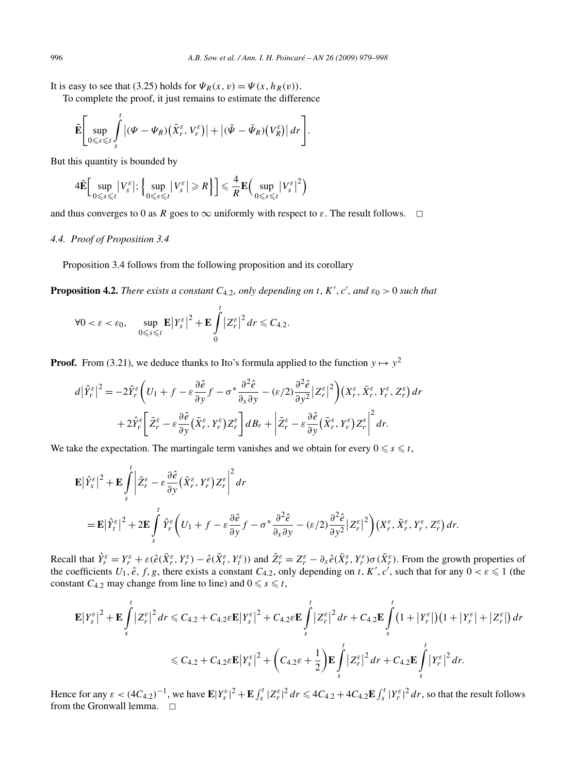It is easy to see that (3.25) holds for  $\Psi_R(x, v) = \Psi(x, h_R(v))$ .

To complete the proof, it just remains to estimate the difference

$$
\widetilde{\mathbf{E}}\Bigg[\sup_{0\leq s\leq t}\int\limits_s^t \big|( \Psi-\Psi_R)\big(\bar{X}_r^{\varepsilon},V_r^{\varepsilon}\big)\big|+\big|(\bar{\Psi}-\bar{\Psi}_R)\big(V_R^{\varepsilon}\big)\big|\,dr\Bigg].
$$

But this quantity is bounded by

$$
4\tilde{\mathbf{E}}\Big[\sup_{0\leqslant s\leqslant t}\big|V_{s}^{\varepsilon}\big|;\, \Big\{\sup_{0\leqslant s\leqslant t}\big|V_{s}^{\varepsilon}\big|\geqslant R\Big\}\Big]\leqslant\frac{4}{R}\mathbf{E}\Big(\sup_{0\leqslant s\leqslant t}\big|V_{s}^{\varepsilon}\big|^{2}\Big)
$$

and thus converges to 0 as *R* goes to  $\infty$  uniformly with respect to  $\varepsilon$ . The result follows.  $\Box$ 

## *4.4. Proof of Proposition 3.4*

Proposition 3.4 follows from the following proposition and its corollary

**Proposition 4.2.** *There exists a constant*  $C_{4,2}$ *, only depending on t, K', c', and*  $\varepsilon_0 > 0$  *such that* 

$$
\forall 0 < \varepsilon < \varepsilon_0, \quad \sup_{0 \leq s \leq t} \mathbf{E} |Y_s^{\varepsilon}|^2 + \mathbf{E} \int_0^t |Z_r^{\varepsilon}|^2 dr \leq C_{4.2}.
$$

**Proof.** From (3.21), we deduce thanks to Ito's formula applied to the function  $y \mapsto y^2$ 

$$
d|\hat{Y}_r^{\varepsilon}|^2 = -2\hat{Y}_r^{\varepsilon}\bigg(U_1 + f - \varepsilon \frac{\partial \hat{e}}{\partial y} f - \sigma^* \frac{\partial^2 \hat{e}}{\partial x \partial y} - (\varepsilon/2) \frac{\partial^2 \hat{e}}{\partial y^2} |Z_r^{\varepsilon}|^2\bigg)(X_r^{\varepsilon}, \bar{X}_r^{\varepsilon}, Y_r^{\varepsilon}, Z_r^{\varepsilon}) dr + 2\hat{Y}_r^{\varepsilon}\bigg[\tilde{Z}_r^{\varepsilon} - \varepsilon \frac{\partial \hat{e}}{\partial y}(\bar{X}_r^{\varepsilon}, Y_r^{\varepsilon}) Z_r^{\varepsilon}\bigg] dB_r + \bigg|\tilde{Z}_r^{\varepsilon} - \varepsilon \frac{\partial \hat{e}}{\partial y}(\bar{X}_r^{\varepsilon}, Y_r^{\varepsilon}) Z_r^{\varepsilon}\bigg|^2 dr.
$$

We take the expectation. The martingale term vanishes and we obtain for every  $0 \le s \le t$ ,

$$
\mathbf{E} |\hat{Y}_{s}^{\varepsilon}|^{2} + \mathbf{E} \int_{s}^{t} \left| \tilde{Z}_{r}^{\varepsilon} - \varepsilon \frac{\partial \hat{e}}{\partial y} (\bar{X}_{r}^{\varepsilon}, Y_{r}^{\varepsilon}) Z_{r}^{\varepsilon} \right|^{2} dr
$$
\n
$$
= \mathbf{E} |\hat{Y}_{t}^{\varepsilon}|^{2} + 2 \mathbf{E} \int_{s}^{t} \hat{Y}_{r}^{\varepsilon} \left( U_{1} + f - \varepsilon \frac{\partial \hat{e}}{\partial y} f - \sigma^{*} \frac{\partial^{2} \hat{e}}{\partial x \partial y} - (\varepsilon/2) \frac{\partial^{2} \hat{e}}{\partial y^{2}} |Z_{r}^{\varepsilon}|^{2} \right) (X_{r}^{\varepsilon}, \bar{X}_{r}^{\varepsilon}, Y_{r}^{\varepsilon}, Z_{r}^{\varepsilon}) dr.
$$

Recall that  $\hat{Y}_r^{\varepsilon} = Y_r^{\varepsilon} + \varepsilon (\hat{e}(\bar{X}_r^{\varepsilon}, Y_r^{\varepsilon}) - \hat{e}(\bar{X}_t^{\varepsilon}, Y_t^{\varepsilon}))$  and  $\tilde{Z}_r^{\varepsilon} = Z_r^{\varepsilon} - \partial_x \hat{e}(\bar{X}_r^{\varepsilon}, Y_r^{\varepsilon}) \sigma(\bar{X}_r^{\varepsilon})$ . From the growth properties of the coefficients  $U_1, \hat{e}, f, g$ , there exists a constant  $C_{4,2}$ , only depending on *t*, K', c', such that for any  $0 < \varepsilon \le 1$  (the constant  $C_{4,2}$  may change from line to line) and  $0 \le s \le t$ ,

$$
\mathbf{E}|Y_{s}^{\varepsilon}|^{2} + \mathbf{E}\int_{s}^{t}|Z_{r}^{\varepsilon}|^{2} dr \leq C_{4.2} + C_{4.2}\varepsilon\mathbf{E}|Y_{s}^{\varepsilon}|^{2} + C_{4.2}\varepsilon\mathbf{E}\int_{s}^{t}|Z_{r}^{\varepsilon}|^{2} dr + C_{4.2}\mathbf{E}\int_{s}^{t}(1+|Y_{r}^{\varepsilon}|)(1+|Y_{r}^{\varepsilon}|+|Z_{r}^{\varepsilon}|) dr \n\leq C_{4.2} + C_{4.2}\varepsilon\mathbf{E}|Y_{s}^{\varepsilon}|^{2} + C_{4.2}\varepsilon + \frac{1}{2}\mathbf{E}\int_{s}^{t}|Z_{r}^{\varepsilon}|^{2} dr + C_{4.2}\mathbf{E}\int_{s}^{t}|Y_{r}^{\varepsilon}|^{2} dr.
$$

Hence for any  $\varepsilon < (4C_{4,2})^{-1}$ , we have  $\mathbf{E}|Y_s^{\varepsilon}|^2 + \mathbf{E}\int_s^t |Z_r^{\varepsilon}|^2 dr \leq 4C_{4,2} + 4C_{4,2}\mathbf{E}\int_s^t |Y_r^{\varepsilon}|^2 dr$ , so that the result follows from the Gronwall lemma.  $\Box$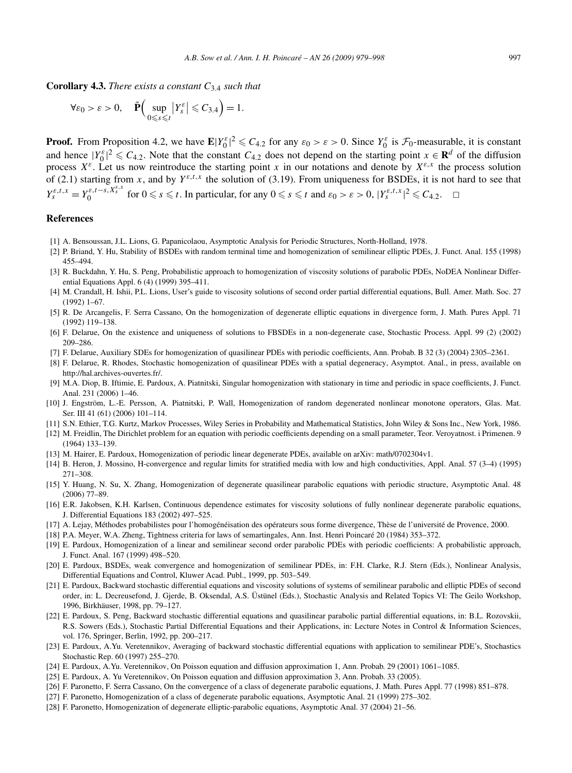**Corollary 4.3.** *There exists a constant C*3*.*<sup>4</sup> *such that*

$$
\forall \varepsilon_0 > \varepsilon > 0, \quad \tilde{\mathbf{P}}\Big( \sup_{0 \leq s \leq t} \big| Y_s^{\varepsilon} \big| \leq C_{3,4} \Big) = 1.
$$

**Proof.** From Proposition 4.2, we have  $\mathbf{E}|Y_0^{\varepsilon}|^2 \leq C_{4,2}$  for any  $\varepsilon_0 > \varepsilon > 0$ . Since  $Y_0^{\varepsilon}$  is  $\mathcal{F}_0$ -measurable, it is constant and hence  $|Y_0^{\varepsilon}|^2 \le C_{4,2}$ . Note that the constant  $C_{4,2}$  does not depend on the starting point  $x \in \mathbf{R}^d$  of the diffusion process  $X^{\varepsilon}$ . Let us now reintroduce the starting point *x* in our notations and denote by  $X^{\varepsilon,x}$  the process solution of (2.1) starting from x, and by  $Y^{\varepsilon,t,x}$  the solution of (3.19). From uniqueness for BSDEs, it is not hard to see that  $Y_s^{\varepsilon,t,x} = Y_0^{\varepsilon,t-s,X_s^{\varepsilon,x}}$  for  $0 \le s \le t$ . In particular, for any  $0 \le s \le t$  and  $\varepsilon_0 > \varepsilon > 0$ ,  $|Y_s^{\varepsilon,t,x}|^2 \le C_{4,2}$ .  $\Box$ 

## **References**

- [1] A. Bensoussan, J.L. Lions, G. Papanicolaou, Asymptotic Analysis for Periodic Structures, North-Holland, 1978.
- [2] P. Briand, Y. Hu, Stability of BSDEs with random terminal time and homogenization of semilinear elliptic PDEs, J. Funct. Anal. 155 (1998) 455–494.
- [3] R. Buckdahn, Y. Hu, S. Peng, Probabilistic approach to homogenization of viscosity solutions of parabolic PDEs, NoDEA Nonlinear Differential Equations Appl. 6 (4) (1999) 395–411.
- [4] M. Crandall, H. Ishii, P.L. Lions, User's guide to viscosity solutions of second order partial differential equations, Bull. Amer. Math. Soc. 27 (1992) 1–67.
- [5] R. De Arcangelis, F. Serra Cassano, On the homogenization of degenerate elliptic equations in divergence form, J. Math. Pures Appl. 71 (1992) 119–138.
- [6] F. Delarue, On the existence and uniqueness of solutions to FBSDEs in a non-degenerate case, Stochastic Process. Appl. 99 (2) (2002) 209–286.
- [7] F. Delarue, Auxiliary SDEs for homogenization of quasilinear PDEs with periodic coefficients, Ann. Probab. B 32 (3) (2004) 2305–2361.
- [8] F. Delarue, R. Rhodes, Stochastic homogenization of quasilinear PDEs with a spatial degeneracy, Asymptot. Anal., in press, available on http://hal.archives-ouvertes.fr/.
- [9] M.A. Diop, B. Iftimie, E. Pardoux, A. Piatnitski, Singular homogenization with stationary in time and periodic in space coefficients, J. Funct. Anal. 231 (2006) 1–46.
- [10] J. Engström, L.-E. Persson, A. Piatnitski, P. Wall, Homogenization of random degenerated nonlinear monotone operators, Glas. Mat. Ser. III 41 (61) (2006) 101–114.
- [11] S.N. Ethier, T.G. Kurtz, Markov Processes, Wiley Series in Probability and Mathematical Statistics, John Wiley & Sons Inc., New York, 1986.
- [12] M. Freidlin, The Dirichlet problem for an equation with periodic coefficients depending on a small parameter, Teor. Veroyatnost. i Primenen. 9 (1964) 133–139.
- [13] M. Hairer, E. Pardoux, Homogenization of periodic linear degenerate PDEs, available on arXiv: math/0702304v1.
- [14] B. Heron, J. Mossino, H-convergence and regular limits for stratified media with low and high conductivities, Appl. Anal. 57 (3–4) (1995) 271–308.
- [15] Y. Huang, N. Su, X. Zhang, Homogenization of degenerate quasilinear parabolic equations with periodic structure, Asymptotic Anal. 48 (2006) 77–89.
- [16] E.R. Jakobsen, K.H. Karlsen, Continuous dependence estimates for viscosity solutions of fully nonlinear degenerate parabolic equations, J. Differential Equations 183 (2002) 497–525.
- [17] A. Lejay, Méthodes probabilistes pour l'homogénéisation des opérateurs sous forme divergence, Thèse de l'université de Provence, 2000.
- [18] P.A. Meyer, W.A. Zheng, Tightness criteria for laws of semartingales, Ann. Inst. Henri Poincaré 20 (1984) 353–372.
- [19] E. Pardoux, Homogenization of a linear and semilinear second order parabolic PDEs with periodic coefficients: A probabilistic approach, J. Funct. Anal. 167 (1999) 498–520.
- [20] E. Pardoux, BSDEs, weak convergence and homogenization of semilinear PDEs, in: F.H. Clarke, R.J. Stern (Eds.), Nonlinear Analysis, Differential Equations and Control, Kluwer Acad. Publ., 1999, pp. 503–549.
- [21] E. Pardoux, Backward stochastic differential equations and viscosity solutions of systems of semilinear parabolic and elliptic PDEs of second order, in: L. Decreusefond, J. Gjerde, B. Oksendal, A.S. Üstünel (Eds.), Stochastic Analysis and Related Topics VI: The Geilo Workshop, 1996, Birkhäuser, 1998, pp. 79–127.
- [22] E. Pardoux, S. Peng, Backward stochastic differential equations and quasilinear parabolic partial differential equations, in: B.L. Rozovskii, R.S. Sowers (Eds.), Stochastic Partial Differential Equations and their Applications, in: Lecture Notes in Control & Information Sciences, vol. 176, Springer, Berlin, 1992, pp. 200–217.
- [23] E. Pardoux, A.Yu. Veretennikov, Averaging of backward stochastic differential equations with application to semilinear PDE's, Stochastics Stochastic Rep. 60 (1997) 255–270.
- [24] E. Pardoux, A.Yu. Veretennikov, On Poisson equation and diffusion approximation 1, Ann. Probab. 29 (2001) 1061–1085.
- [25] E. Pardoux, A. Yu Veretennikov, On Poisson equation and diffusion approximation 3, Ann. Probab. 33 (2005).
- [26] F. Paronetto, F. Serra Cassano, On the convergence of a class of degenerate parabolic equations, J. Math. Pures Appl. 77 (1998) 851–878.
- [27] F. Paronetto, Homogenization of a class of degenerate parabolic equations, Asymptotic Anal. 21 (1999) 275–302.
- [28] F. Paronetto, Homogenization of degenerate elliptic-parabolic equations, Asymptotic Anal. 37 (2004) 21–56.